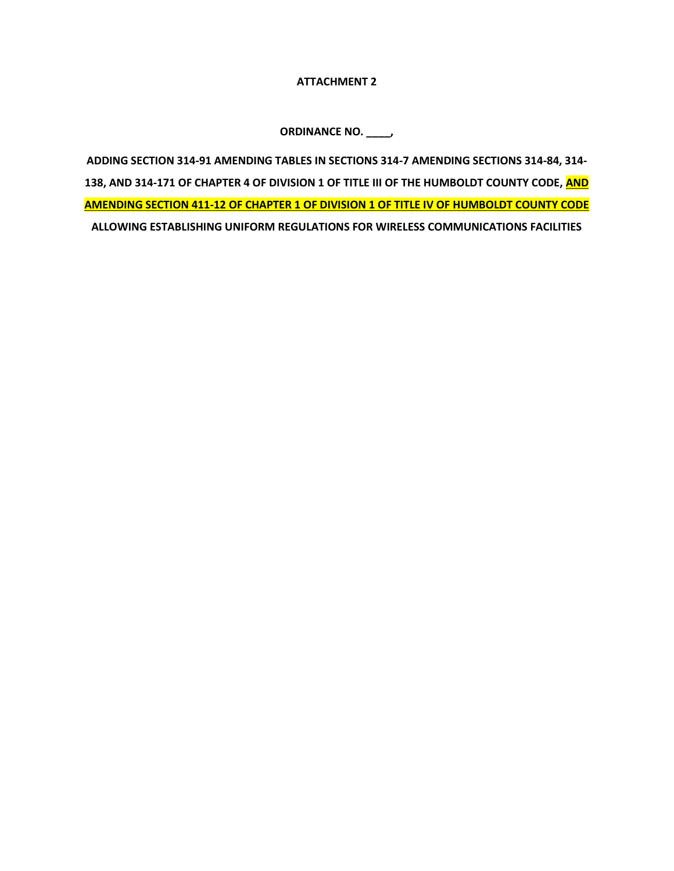## **ATTACHMENT 2**

**ORDINANCE NO. \_\_\_\_,**

**ADDING SECTION 314-91 AMENDING TABLES IN SECTIONS 314-7 AMENDING SECTIONS 314-84, 314- 138, AND 314-171 OF CHAPTER 4 OF DIVISION 1 OF TITLE III OF THE HUMBOLDT COUNTY CODE, AND AMENDING SECTION 411-12 OF CHAPTER 1 OF DIVISION 1 OF TITLE IV OF HUMBOLDT COUNTY CODE ALLOWING ESTABLISHING UNIFORM REGULATIONS FOR WIRELESS COMMUNICATIONS FACILITIES**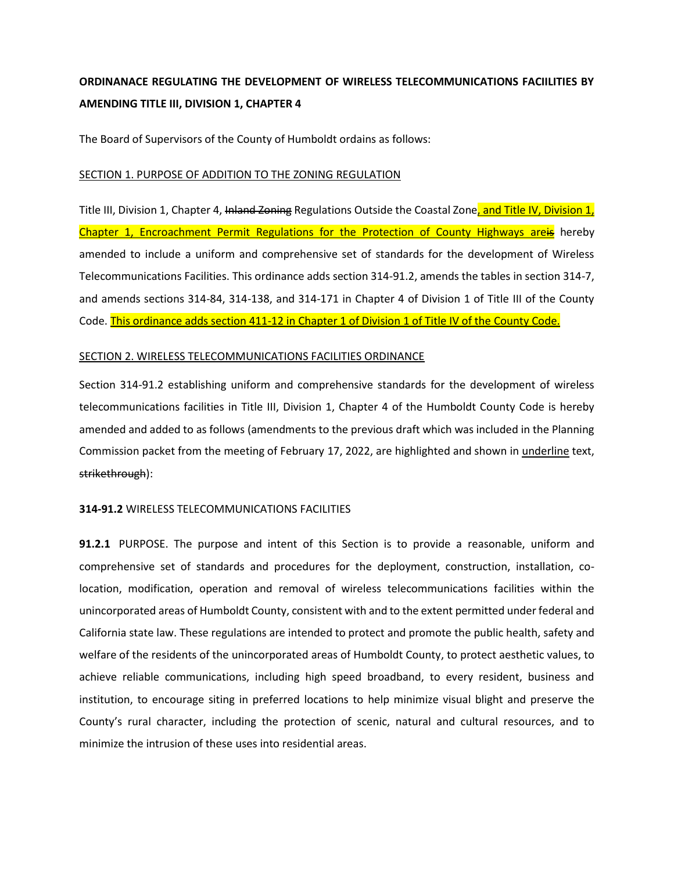# **ORDINANACE REGULATING THE DEVELOPMENT OF WIRELESS TELECOMMUNICATIONS FACIILITIES BY AMENDING TITLE III, DIVISION 1, CHAPTER 4**

The Board of Supervisors of the County of Humboldt ordains as follows:

## SECTION 1. PURPOSE OF ADDITION TO THE ZONING REGULATION

Title III, Division 1, Chapter 4, Inland Zoning Regulations Outside the Coastal Zone, and Title IV, Division 1, Chapter 1, Encroachment Permit Regulations for the Protection of County Highways areis hereby amended to include a uniform and comprehensive set of standards for the development of Wireless Telecommunications Facilities. This ordinance adds section 314-91.2, amends the tables in section 314-7, and amends sections 314-84, 314-138, and 314-171 in Chapter 4 of Division 1 of Title III of the County Code. This ordinance adds section 411-12 in Chapter 1 of Division 1 of Title IV of the County Code.

## SECTION 2. WIRELESS TELECOMMUNICATIONS FACILITIES ORDINANCE

Section 314-91.2 establishing uniform and comprehensive standards for the development of wireless telecommunications facilities in Title III, Division 1, Chapter 4 of the Humboldt County Code is hereby amended and added to as follows (amendments to the previous draft which was included in the Planning Commission packet from the meeting of February 17, 2022, are highlighted and shown in underline text, strikethrough):

## **314-91.2** WIRELESS TELECOMMUNICATIONS FACILITIES

**91.2.1** PURPOSE. The purpose and intent of this Section is to provide a reasonable, uniform and comprehensive set of standards and procedures for the deployment, construction, installation, colocation, modification, operation and removal of wireless telecommunications facilities within the unincorporated areas of Humboldt County, consistent with and to the extent permitted under federal and California state law. These regulations are intended to protect and promote the public health, safety and welfare of the residents of the unincorporated areas of Humboldt County, to protect aesthetic values, to achieve reliable communications, including high speed broadband, to every resident, business and institution, to encourage siting in preferred locations to help minimize visual blight and preserve the County's rural character, including the protection of scenic, natural and cultural resources, and to minimize the intrusion of these uses into residential areas.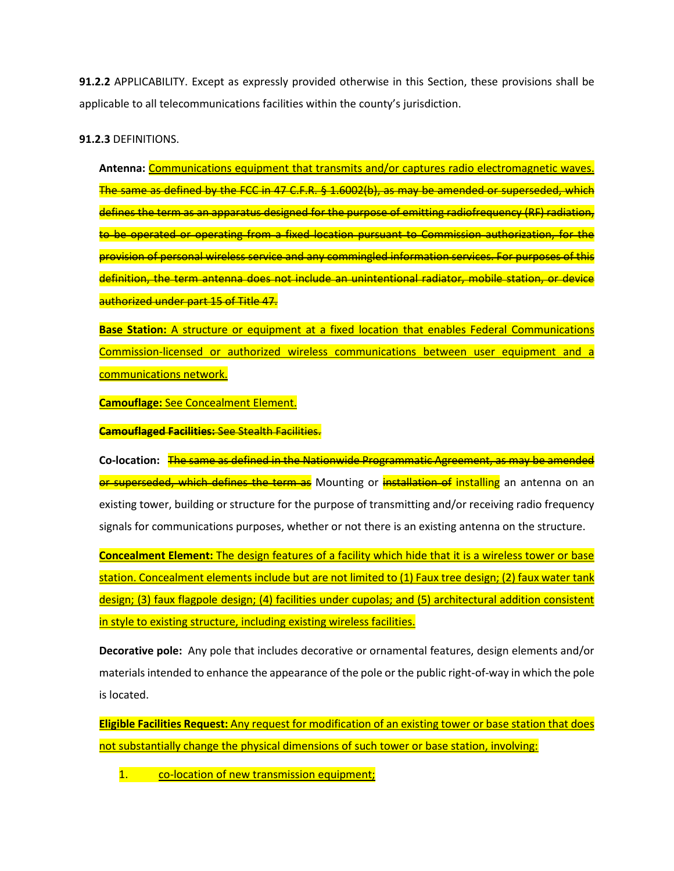**91.2.2** APPLICABILITY. Except as expressly provided otherwise in this Section, these provisions shall be applicable to all telecommunications facilities within the county's jurisdiction.

**91.2.3** DEFINITIONS.

**Antenna:** Communications equipment that transmits and/or captures radio electromagnetic waves. The same as defined by the FCC in 47 C.F.R. § 1.6002(b), as may be amended or superseded, which defines the term as an apparatus designed for the purpose of emitting radiofrequency (RF) radiation, to be operated or operating from a fixed location pursuant to Commission authorization, for the provision of personal wireless service and any commingled information services. For purposes of this definition, the term antenna does not include an unintentional radiator, mobile station, or device authorized under part 15 of Title 47.

**Base Station:** A structure or equipment at a fixed location that enables Federal Communications Commission-licensed or authorized wireless communications between user equipment and a communications network.

**Camouflage:** See Concealment Element.

**Camouflaged Facilities:** See Stealth Facilities.

**Co-location:** The same as defined in the Nationwide Programmatic Agreement, as may be amended or superseded, which defines the term as Mounting or installation of installing an antenna on an existing tower, building or structure for the purpose of transmitting and/or receiving radio frequency signals for communications purposes, whether or not there is an existing antenna on the structure.

**Concealment Element:** The design features of a facility which hide that it is a wireless tower or base station. Concealment elements include but are not limited to (1) Faux tree design; (2) faux water tank design; (3) faux flagpole design; (4) facilities under cupolas; and (5) architectural addition consistent in style to existing structure, including existing wireless facilities.

**Decorative pole:** Any pole that includes decorative or ornamental features, design elements and/or materials intended to enhance the appearance of the pole or the public right-of-way in which the pole is located.

**Eligible Facilities Request:** Any request for modification of an existing tower or base station that does not substantially change the physical dimensions of such tower or base station, involving:

1. co-location of new transmission equipment;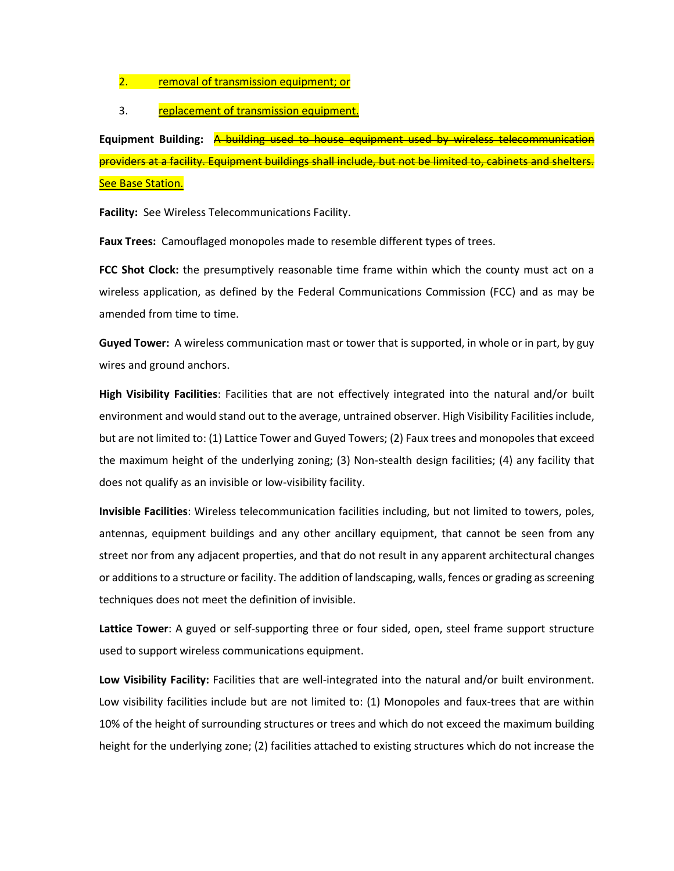2. removal of transmission equipment; or

3. replacement of transmission equipment.

**Equipment Building:** A building used to house equipment used by wireless telecommunication providers at a facility. Equipment buildings shall include, but not be limited to, cabinets and shelters. See Base Station.

**Facility:** See Wireless Telecommunications Facility.

**Faux Trees:** Camouflaged monopoles made to resemble different types of trees.

**FCC Shot Clock:** the presumptively reasonable time frame within which the county must act on a wireless application, as defined by the Federal Communications Commission (FCC) and as may be amended from time to time.

**Guyed Tower:** A wireless communication mast or tower that is supported, in whole or in part, by guy wires and ground anchors.

**High Visibility Facilities**: Facilities that are not effectively integrated into the natural and/or built environment and would stand out to the average, untrained observer. High Visibility Facilities include, but are not limited to: (1) Lattice Tower and Guyed Towers; (2) Faux trees and monopoles that exceed the maximum height of the underlying zoning; (3) Non-stealth design facilities; (4) any facility that does not qualify as an invisible or low-visibility facility.

**Invisible Facilities**: Wireless telecommunication facilities including, but not limited to towers, poles, antennas, equipment buildings and any other ancillary equipment, that cannot be seen from any street nor from any adjacent properties, and that do not result in any apparent architectural changes or additionsto a structure or facility. The addition of landscaping, walls, fences or grading as screening techniques does not meet the definition of invisible.

**Lattice Tower**: A guyed or self-supporting three or four sided, open, steel frame support structure used to support wireless communications equipment.

**Low Visibility Facility:** Facilities that are well-integrated into the natural and/or built environment. Low visibility facilities include but are not limited to: (1) Monopoles and faux-trees that are within 10% of the height of surrounding structures or trees and which do not exceed the maximum building height for the underlying zone; (2) facilities attached to existing structures which do not increase the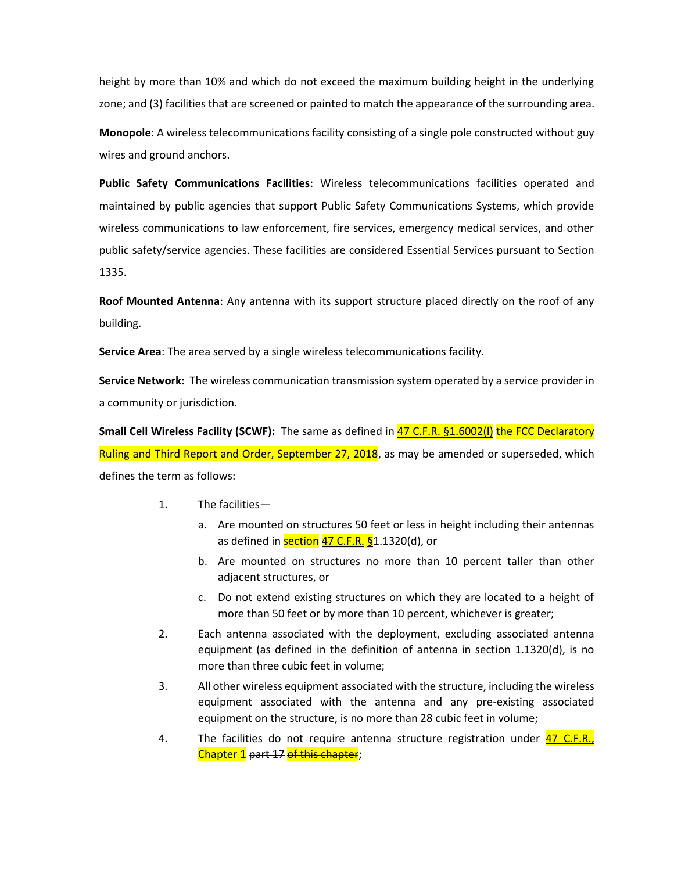height by more than 10% and which do not exceed the maximum building height in the underlying zone; and (3) facilities that are screened or painted to match the appearance of the surrounding area.

**Monopole**: A wireless telecommunications facility consisting of a single pole constructed without guy wires and ground anchors.

**Public Safety Communications Facilities**: Wireless telecommunications facilities operated and maintained by public agencies that support Public Safety Communications Systems, which provide wireless communications to law enforcement, fire services, emergency medical services, and other public safety/service agencies. These facilities are considered Essential Services pursuant to Section 1335.

**Roof Mounted Antenna**: Any antenna with its support structure placed directly on the roof of any building.

**Service Area**: The area served by a single wireless telecommunications facility.

**Service Network:** The wireless communication transmission system operated by a service provider in a community or jurisdiction.

Small Cell Wireless Facility (SCWF): The same as defined in 47 C.F.R. §1.6002(I) the FCC Declaratory Ruling and Third Report and Order, September 27, 2018, as may be amended or superseded, which defines the term as follows:

- 1. The facilities
	- a. Are mounted on structures 50 feet or less in height including their antennas as defined in **section 47 C.F.R. §**1.1320(d), or
	- b. Are mounted on structures no more than 10 percent taller than other adjacent structures, or
	- c. Do not extend existing structures on which they are located to a height of more than 50 feet or by more than 10 percent, whichever is greater;
- 2. Each antenna associated with the deployment, excluding associated antenna equipment (as defined in the definition of antenna in section 1.1320(d), is no more than three cubic feet in volume;
- 3. All other wireless equipment associated with the structure, including the wireless equipment associated with the antenna and any pre-existing associated equipment on the structure, is no more than 28 cubic feet in volume;
- 4. The facilities do not require antenna structure registration under **47 C.F.R.**, Chapter 1 part 17 of this chapter;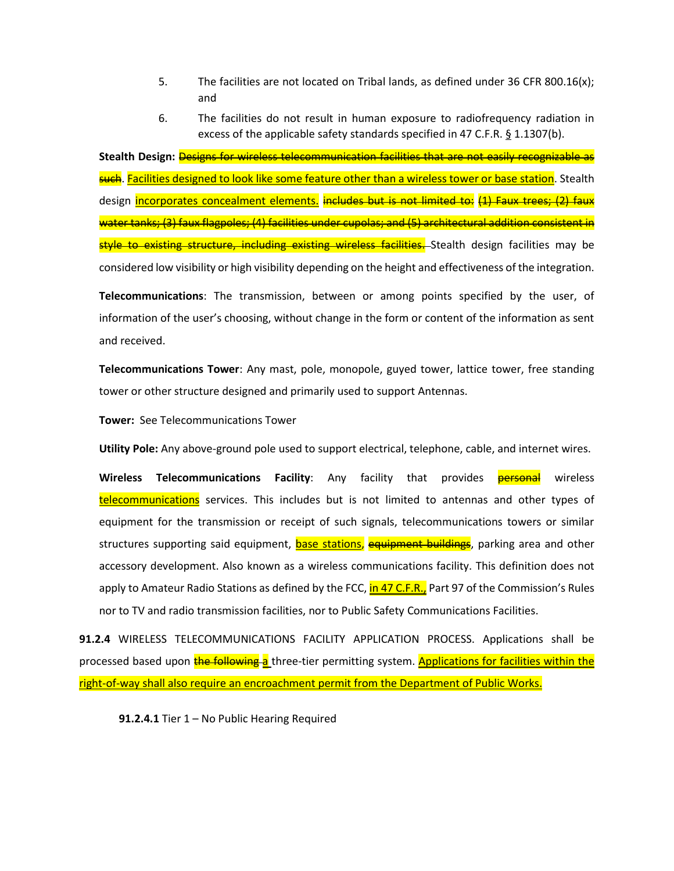- 5. The facilities are not located on Tribal lands, as defined under 36 CFR 800.16(x); and
- 6. The facilities do not result in human exposure to radiofrequency radiation in excess of the applicable safety standards specified in 47 C.F.R. § 1.1307(b).

**Stealth Design:** Designs for wireless telecommunication facilities that are not easily recognizable as such. Facilities designed to look like some feature other than a wireless tower or base station. Stealth design incorporates concealment elements. includes but is not limited to: (1) Faux trees; (2) faux water tanks; (3) faux flagpoles; (4) facilities under cupolas; and (5) architectural addition consistent in style to existing structure, including existing wireless facilities. Stealth design facilities may be considered low visibility or high visibility depending on the height and effectiveness of the integration.

**Telecommunications**: The transmission, between or among points specified by the user, of information of the user's choosing, without change in the form or content of the information as sent and received.

**Telecommunications Tower**: Any mast, pole, monopole, guyed tower, lattice tower, free standing tower or other structure designed and primarily used to support Antennas.

**Tower:** See Telecommunications Tower

**Utility Pole:** Any above-ground pole used to support electrical, telephone, cable, and internet wires.

**Wireless Telecommunications Facility**: Any facility that provides **personal** wireless telecommunications</u> services. This includes but is not limited to antennas and other types of equipment for the transmission or receipt of such signals, telecommunications towers or similar structures supporting said equipment, **base stations**, equipment buildings, parking area and other accessory development. Also known as a wireless communications facility. This definition does not apply to Amateur Radio Stations as defined by the FCC, in 47 C.F.R., Part 97 of the Commission's Rules nor to TV and radio transmission facilities, nor to Public Safety Communications Facilities.

**91.2.4** WIRELESS TELECOMMUNICATIONS FACILITY APPLICATION PROCESS. Applications shall be processed based upon the following a three-tier permitting system. Applications for facilities within the right-of-way shall also require an encroachment permit from the Department of Public Works.

**91.2.4.1** Tier 1 – No Public Hearing Required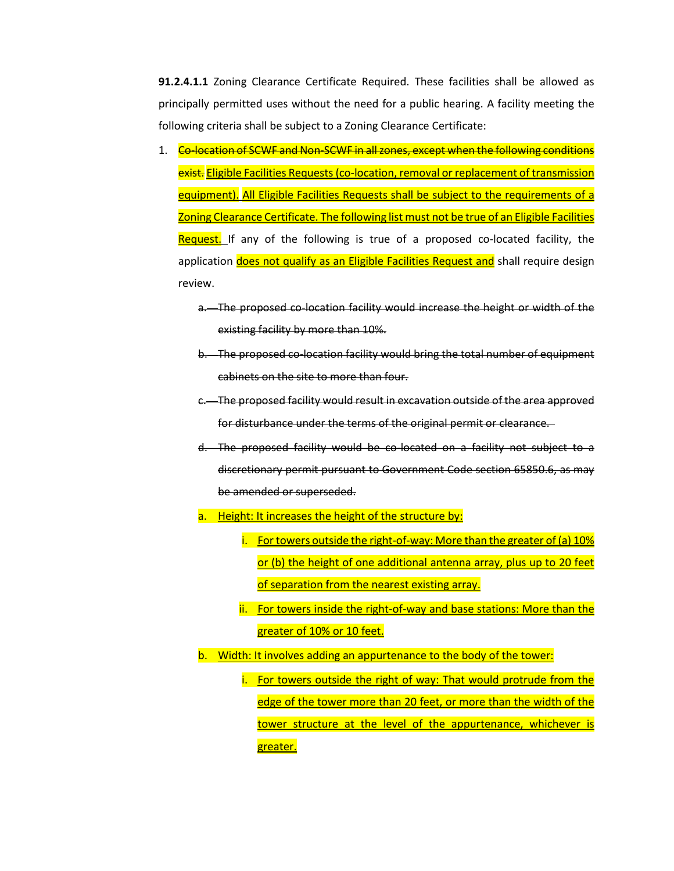**91.2.4.1.1** Zoning Clearance Certificate Required. These facilities shall be allowed as principally permitted uses without the need for a public hearing. A facility meeting the following criteria shall be subject to a Zoning Clearance Certificate:

- 1. Co-location of SCWF and Non-SCWF in all zones, except when the following conditions exist. Eligible Facilities Requests (co-location, removal or replacement of transmission equipment). All Eligible Facilities Requests shall be subject to the requirements of a Zoning Clearance Certificate. The following list must not be true of an Eligible Facilities Request. If any of the following is true of a proposed co-located facility, the application does not qualify as an Eligible Facilities Request and shall require design review.
	- a. The proposed co-location facility would increase the height or width of the existing facility by more than 10%.
	- b. The proposed co-location facility would bring the total number of equipment cabinets on the site to more than four.
	- c. The proposed facility would result in excavation outside of the area approved for disturbance under the terms of the original permit or clearance.
	- d. The proposed facility would be co-located on a facility not subject to a discretionary permit pursuant to Government Code section 65850.6, as may be amended or superseded.
	- a. Height: It increases the height of the structure by:
		- i. For towers outside the right-of-way: More than the greater of (a)  $10\%$ or (b) the height of one additional antenna array, plus up to 20 feet of separation from the nearest existing array.
		- ii. For towers inside the right-of-way and base stations: More than the greater of 10% or 10 feet.
	- b. Width: It involves adding an appurtenance to the body of the tower:
		- i. For towers outside the right of way: That would protrude from the edge of the tower more than 20 feet, or more than the width of the tower structure at the level of the appurtenance, whichever is greater.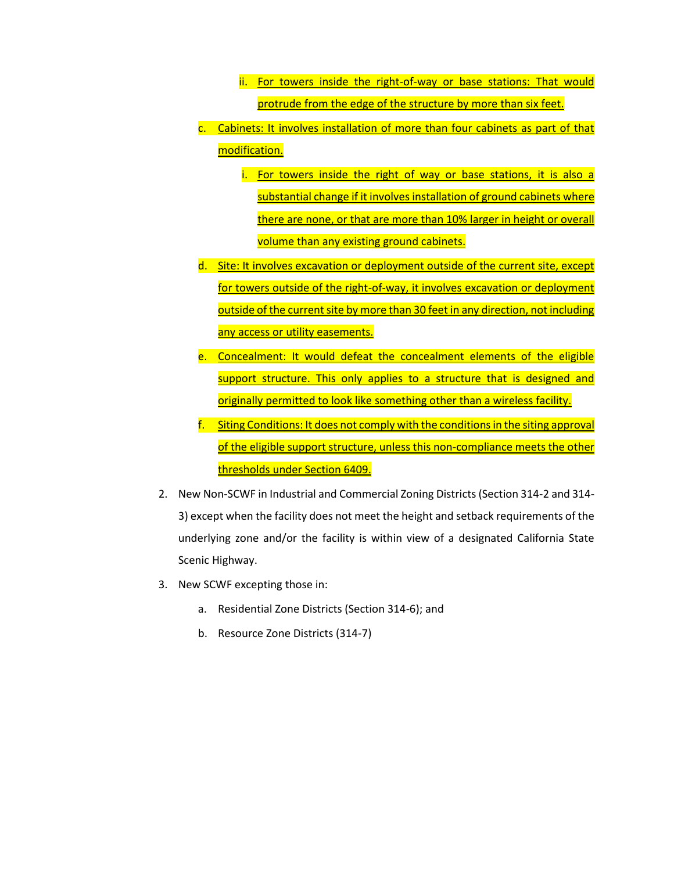- ii. For towers inside the right-of-way or base stations: That would protrude from the edge of the structure by more than six feet.
- c. Cabinets: It involves installation of more than four cabinets as part of that modification.
	- i. For towers inside the right of way or base stations, it is also a substantial change if it involves installation of ground cabinets where there are none, or that are more than 10% larger in height or overall volume than any existing ground cabinets.
- d. Site: It involves excavation or deployment outside of the current site, except for towers outside of the right-of-way, it involves excavation or deployment outside of the current site by more than 30 feet in any direction, not including any access or utility easements.
- e. Concealment: It would defeat the concealment elements of the eligible support structure. This only applies to a structure that is designed and originally permitted to look like something other than a wireless facility.
- f. Siting Conditions: It does not comply with the conditions in the siting approval of the eligible support structure, unless this non-compliance meets the other thresholds under Section 6409.
- 2. New Non-SCWF in Industrial and Commercial Zoning Districts(Section 314-2 and 314- 3) except when the facility does not meet the height and setback requirements of the underlying zone and/or the facility is within view of a designated California State Scenic Highway.
- 3. New SCWF excepting those in:
	- a. Residential Zone Districts (Section 314-6); and
	- b. Resource Zone Districts (314-7)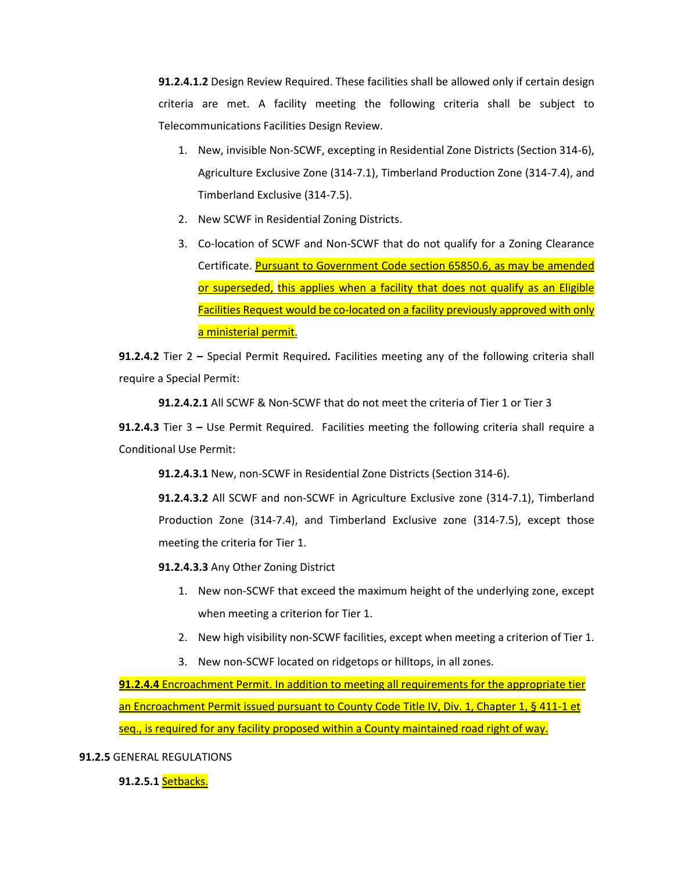**91.2.4.1.2** Design Review Required. These facilities shall be allowed only if certain design criteria are met. A facility meeting the following criteria shall be subject to Telecommunications Facilities Design Review.

- 1. New, invisible Non-SCWF, excepting in Residential Zone Districts (Section 314-6), Agriculture Exclusive Zone (314-7.1), Timberland Production Zone (314-7.4), and Timberland Exclusive (314-7.5).
- 2. New SCWF in Residential Zoning Districts.
- 3. Co-location of SCWF and Non-SCWF that do not qualify for a Zoning Clearance Certificate. Pursuant to Government Code section 65850.6, as may be amended or superseded, this applies when a facility that does not qualify as an Eligible Facilities Request would be co-located on a facility previously approved with only a ministerial permit.

**91.2.4.2** Tier 2 **–** Special Permit Required**.** Facilities meeting any of the following criteria shall require a Special Permit:

**91.2.4.2.1** All SCWF & Non-SCWF that do not meet the criteria of Tier 1 or Tier 3

**91.2.4.3** Tier 3 **–** Use Permit Required.Facilities meeting the following criteria shall require a Conditional Use Permit:

**91.2.4.3.1** New, non-SCWF in Residential Zone Districts (Section 314-6).

**91.2.4.3.2** All SCWF and non-SCWF in Agriculture Exclusive zone (314-7.1), Timberland Production Zone (314-7.4), and Timberland Exclusive zone (314-7.5), except those meeting the criteria for Tier 1.

**91.2.4.3.3** Any Other Zoning District

- 1. New non-SCWF that exceed the maximum height of the underlying zone, except when meeting a criterion for Tier 1.
- 2. New high visibility non-SCWF facilities, except when meeting a criterion of Tier 1.
- 3. New non-SCWF located on ridgetops or hilltops, in all zones.

**91.2.4.4** Encroachment Permit. In addition to meeting all requirements for the appropriate tier an Encroachment Permit issued pursuant to County Code Title IV, Div. 1, Chapter 1, § 411-1 et seq., is required for any facility proposed within a County maintained road right of way.

**91.2.5** GENERAL REGULATIONS

**91.2.5.1** Setbacks.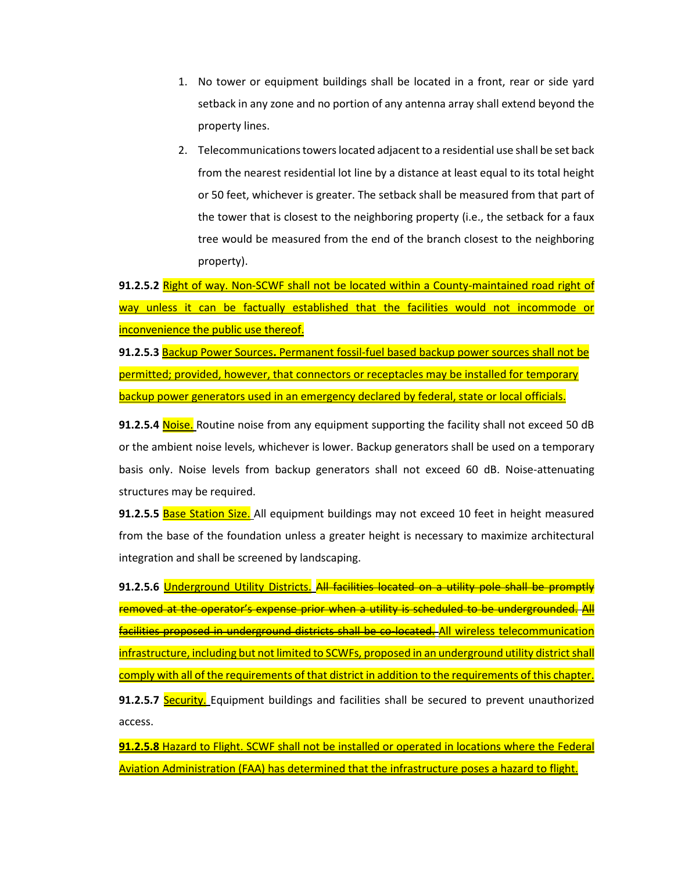- 1. No tower or equipment buildings shall be located in a front, rear or side yard setback in any zone and no portion of any antenna array shall extend beyond the property lines.
- 2. Telecommunications towers located adjacent to a residential use shall be set back from the nearest residential lot line by a distance at least equal to its total height or 50 feet, whichever is greater. The setback shall be measured from that part of the tower that is closest to the neighboring property (i.e., the setback for a faux tree would be measured from the end of the branch closest to the neighboring property).

**91.2.5.2** Right of way. Non-SCWF shall not be located within a County-maintained road right of way unless it can be factually established that the facilities would not incommode or inconvenience the public use thereof.

**91.2.5.3** Backup Power Sources**.** Permanent fossil-fuel based backup power sources shall not be permitted; provided, however, that connectors or receptacles may be installed for temporary backup power generators used in an emergency declared by federal, state or local officials.

**91.2.5.4** Noise. Routine noise from any equipment supporting the facility shall not exceed 50 dB or the ambient noise levels, whichever is lower. Backup generators shall be used on a temporary basis only. Noise levels from backup generators shall not exceed 60 dB. Noise-attenuating structures may be required.

**91.2.5.5** Base Station Size. All equipment buildings may not exceed 10 feet in height measured from the base of the foundation unless a greater height is necessary to maximize architectural integration and shall be screened by landscaping.

**91.2.5.6** Underground Utility Districts. All facilities located on a utility pole shall be promptly removed at the operator's expense prior when a utility is scheduled to be undergrounded. All facilities proposed in underground districts shall be co-located. All wireless telecommunication infrastructure, including but not limited to SCWFs, proposed in an underground utility district shall comply with all of the requirements of that district in addition to the requirements of this chapter. **91.2.5.7 Security.** Equipment buildings and facilities shall be secured to prevent unauthorized access.

**91.2.5.8** Hazard to Flight. SCWF shall not be installed or operated in locations where the Federal Aviation Administration (FAA) has determined that the infrastructure poses a hazard to flight.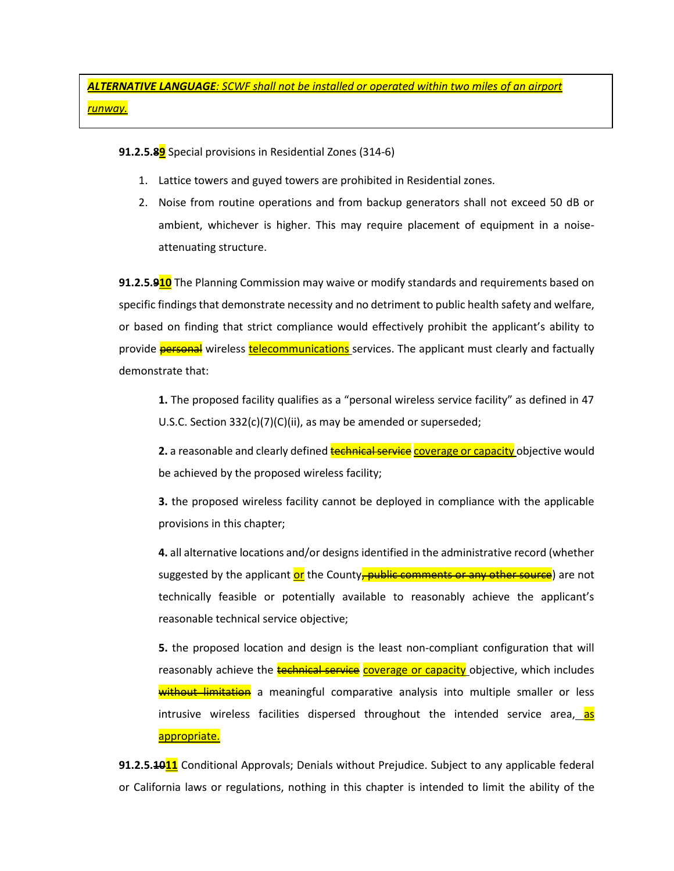*ALTERNATIVE LANGUAGE: SCWF shall not be installed or operated within two miles of an airport runway.*

**91.2.5.89** Special provisions in Residential Zones (314-6)

- 1. Lattice towers and guyed towers are prohibited in Residential zones.
- 2. Noise from routine operations and from backup generators shall not exceed 50 dB or ambient, whichever is higher. This may require placement of equipment in a noiseattenuating structure.

**91.2.5.910** The Planning Commission may waive or modify standards and requirements based on specific findings that demonstrate necessity and no detriment to public health safety and welfare, or based on finding that strict compliance would effectively prohibit the applicant's ability to provide **personal** wireless **telecommunications** services. The applicant must clearly and factually demonstrate that:

**1.** The proposed facility qualifies as a "personal wireless service facility" as defined in 47 U.S.C. Section 332(c)(7)(C)(ii), as may be amended or superseded;

**2.** a reasonable and clearly defined **technical service** coverage or capacity objective would be achieved by the proposed wireless facility;

**3.** the proposed wireless facility cannot be deployed in compliance with the applicable provisions in this chapter;

**4.** all alternative locations and/or designs identified in the administrative record (whether suggested by the applicant or the County, public comments or any other source) are not technically feasible or potentially available to reasonably achieve the applicant's reasonable technical service objective;

**5.** the proposed location and design is the least non-compliant configuration that will reasonably achieve the technical service coverage or capacity objective, which includes without limitation a meaningful comparative analysis into multiple smaller or less intrusive wireless facilities dispersed throughout the intended service area, as appropriate.

**91.2.5.1011** Conditional Approvals; Denials without Prejudice. Subject to any applicable federal or California laws or regulations, nothing in this chapter is intended to limit the ability of the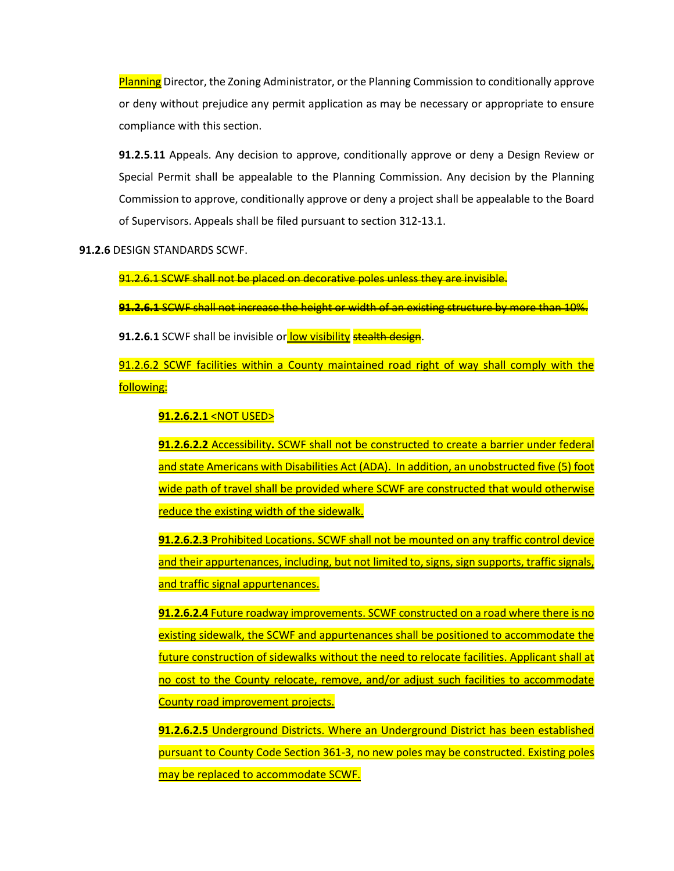Planning Director, the Zoning Administrator, or the Planning Commission to conditionally approve or deny without prejudice any permit application as may be necessary or appropriate to ensure compliance with this section.

**91.2.5.11** Appeals. Any decision to approve, conditionally approve or deny a Design Review or Special Permit shall be appealable to the Planning Commission. Any decision by the Planning Commission to approve, conditionally approve or deny a project shall be appealable to the Board of Supervisors. Appeals shall be filed pursuant to section 312-13.1.

**91.2.6** DESIGN STANDARDS SCWF.

91.2.6.1 SCWF shall not be placed on decorative poles unless they are invisible.

**91.2.6.1** SCWF shall not increase the height or width of an existing structure by more than 10%.

**91.2.6.1** SCWF shall be invisible or low visibility stealth design.

91.2.6.2 SCWF facilities within a County maintained road right of way shall comply with the following:

**91.2.6.2.1** <NOT USED>

**91.2.6.2.2** Accessibility**.** SCWF shall not be constructed to create a barrier under federal and state Americans with Disabilities Act (ADA). In addition, an unobstructed five (5) foot wide path of travel shall be provided where SCWF are constructed that would otherwise reduce the existing width of the sidewalk.

**91.2.6.2.3** Prohibited Locations. SCWF shall not be mounted on any traffic control device and their appurtenances, including, but not limited to, signs, sign supports, traffic signals, and traffic signal appurtenances.

**91.2.6.2.4** Future roadway improvements. SCWF constructed on a road where there is no existing sidewalk, the SCWF and appurtenances shall be positioned to accommodate the future construction of sidewalks without the need to relocate facilities. Applicant shall at no cost to the County relocate, remove, and/or adjust such facilities to accommodate County road improvement projects.

**91.2.6.2.5** Underground Districts. Where an Underground District has been established pursuant to County Code Section 361-3, no new poles may be constructed. Existing poles may be replaced to accommodate SCWF.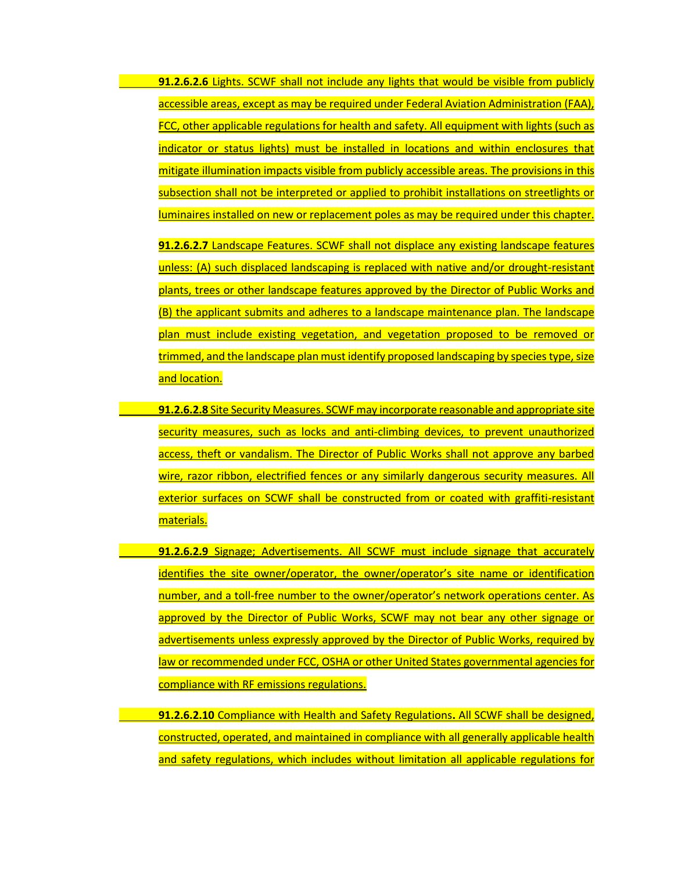**91.2.6.2.6** Lights. SCWF shall not include any lights that would be visible from publicly accessible areas, except as may be required under Federal Aviation Administration (FAA), FCC, other applicable regulations for health and safety. All equipment with lights (such as indicator or status lights) must be installed in locations and within enclosures that mitigate illumination impacts visible from publicly accessible areas. The provisions in this subsection shall not be interpreted or applied to prohibit installations on streetlights or luminaires installed on new or replacement poles as may be required under this chapter.

**91.2.6.2.7** Landscape Features. SCWF shall not displace any existing landscape features unless: (A) such displaced landscaping is replaced with native and/or drought-resistant plants, trees or other landscape features approved by the Director of Public Works and (B) the applicant submits and adheres to a landscape maintenance plan. The landscape plan must include existing vegetation, and vegetation proposed to be removed or trimmed, and the landscape plan must identify proposed landscaping by species type, size and location.

- **91.2.6.2.8** Site Security Measures. SCWF may incorporate reasonable and appropriate site security measures, such as locks and anti-climbing devices, to prevent unauthorized access, theft or vandalism. The Director of Public Works shall not approve any barbed wire, razor ribbon, electrified fences or any similarly dangerous security measures. All exterior surfaces on SCWF shall be constructed from or coated with graffiti-resistant materials.
- **91.2.6.2.9** Signage; Advertisements. All SCWF must include signage that accurately identifies the site owner/operator, the owner/operator's site name or identification number, and a toll-free number to the owner/operator's network operations center. As approved by the Director of Public Works, SCWF may not bear any other signage or advertisements unless expressly approved by the Director of Public Works, required by law or recommended under FCC, OSHA or other United States governmental agencies for compliance with RF emissions regulations.

**91.2.6.2.10** Compliance with Health and Safety Regulations**.** All SCWF shall be designed, constructed, operated, and maintained in compliance with all generally applicable health and safety regulations, which includes without limitation all applicable regulations for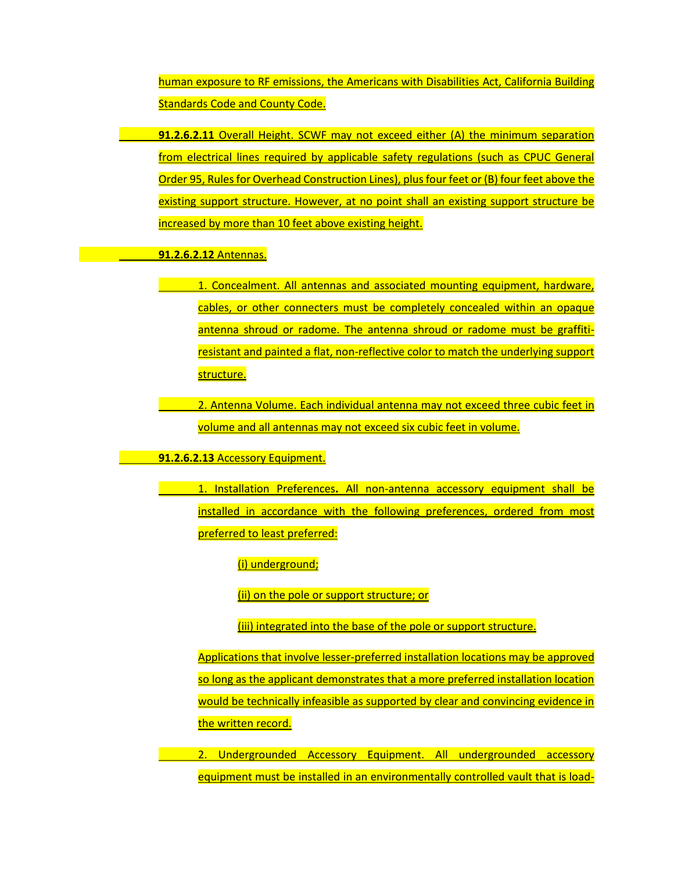human exposure to RF emissions, the Americans with Disabilities Act, California Building Standards Code and County Code.

**91.2.6.2.11** Overall Height. SCWF may not exceed either (A) the minimum separation from electrical lines required by applicable safety regulations (such as CPUC General Order 95, Rules for Overhead Construction Lines), plus four feet or (B) four feet above the existing support structure. However, at no point shall an existing support structure be increased by more than 10 feet above existing height.

**91.2.6.2.12** Antennas.

1. Concealment. All antennas and associated mounting equipment, hardware, cables, or other connecters must be completely concealed within an opaque antenna shroud or radome. The antenna shroud or radome must be graffitiresistant and painted a flat, non-reflective color to match the underlying support structure.

2. Antenna Volume. Each individual antenna may not exceed three cubic feet in volume and all antennas may not exceed six cubic feet in volume.

**91.2.6.2.13** Accessory Equipment.

1. Installation Preferences**.** All non-antenna accessory equipment shall be installed in accordance with the following preferences, ordered from most preferred to least preferred:

(i) underground;

(ii) on the pole or support structure; or

(iii) integrated into the base of the pole or support structure.

Applications that involve lesser-preferred installation locations may be approved so long as the applicant demonstrates that a more preferred installation location would be technically infeasible as supported by clear and convincing evidence in the written record.

2. Undergrounded Accessory Equipment. All undergrounded accessory equipment must be installed in an environmentally controlled vault that is load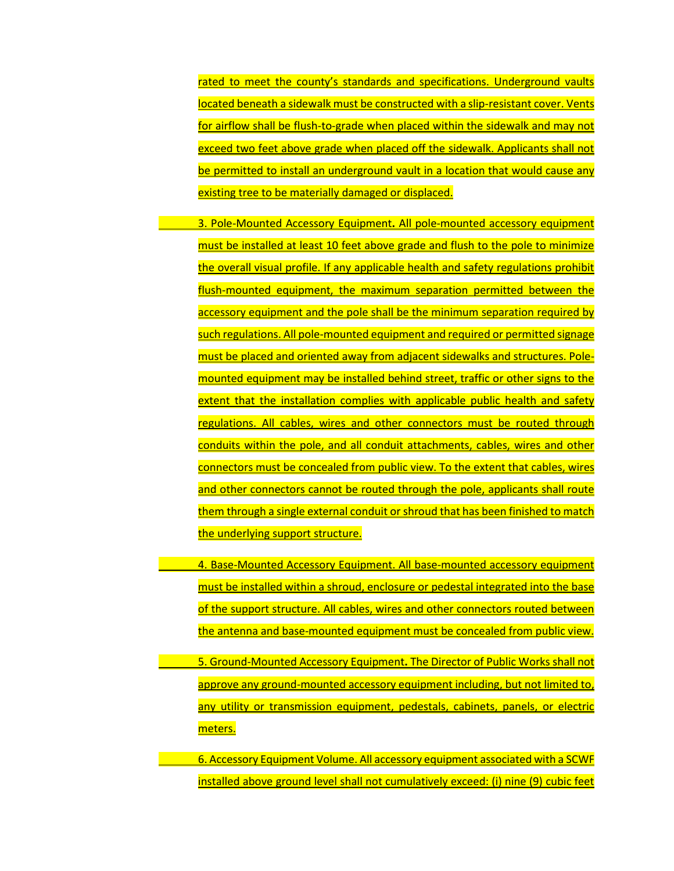rated to meet the county's standards and specifications. Underground vaults located beneath a sidewalk must be constructed with a slip-resistant cover. Vents for airflow shall be flush-to-grade when placed within the sidewalk and may not exceed two feet above grade when placed off the sidewalk. Applicants shall not be permitted to install an underground vault in a location that would cause any existing tree to be materially damaged or displaced.

3. Pole-Mounted Accessory Equipment**.** All pole-mounted accessory equipment must be installed at least 10 feet above grade and flush to the pole to minimize the overall visual profile. If any applicable health and safety regulations prohibit flush-mounted equipment, the maximum separation permitted between the accessory equipment and the pole shall be the minimum separation required by such regulations. All pole-mounted equipment and required or permitted signage must be placed and oriented away from adjacent sidewalks and structures. Polemounted equipment may be installed behind street, traffic or other signs to the extent that the installation complies with applicable public health and safety regulations. All cables, wires and other connectors must be routed through conduits within the pole, and all conduit attachments, cables, wires and other connectors must be concealed from public view. To the extent that cables, wires and other connectors cannot be routed through the pole, applicants shall route them through a single external conduit or shroud that has been finished to match the underlying support structure.

4. Base-Mounted Accessory Equipment. All base-mounted accessory equipment must be installed within a shroud, enclosure or pedestal integrated into the base of the support structure. All cables, wires and other connectors routed between the antenna and base-mounted equipment must be concealed from public view.

5. Ground-Mounted Accessory Equipment**.** The Director of Public Works shall not approve any ground-mounted accessory equipment including, but not limited to, any utility or transmission equipment, pedestals, cabinets, panels, or electric meters.

6. Accessory Equipment Volume. All accessory equipment associated with a SCWF installed above ground level shall not cumulatively exceed: (i) nine (9) cubic feet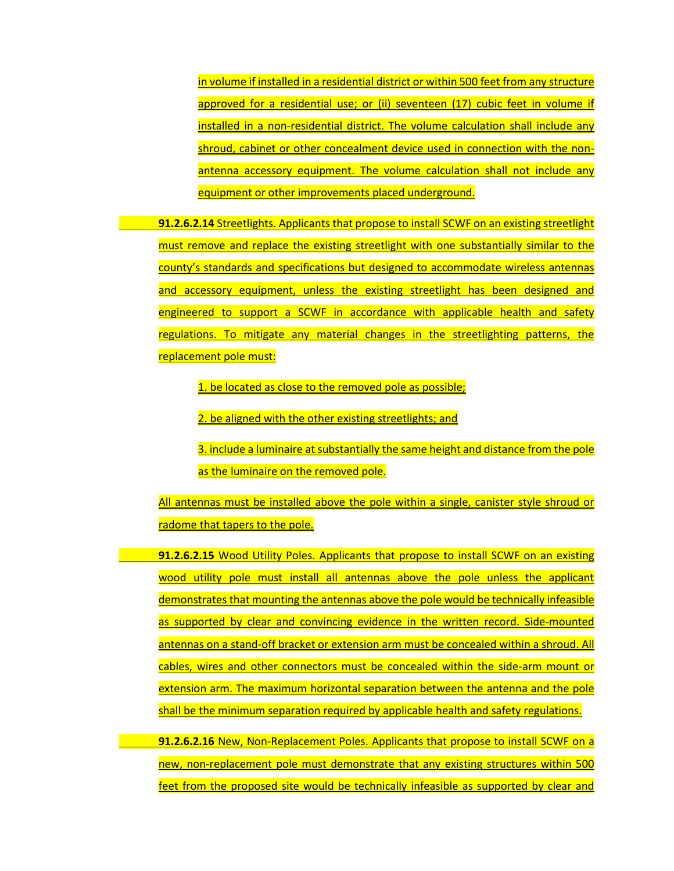in volume if installed in a residential district or within 500 feet from any structure approved for a residential use; or (ii) seventeen (17) cubic feet in volume if installed in a non-residential district. The volume calculation shall include any shroud, cabinet or other concealment device used in connection with the nonantenna accessory equipment. The volume calculation shall not include any equipment or other improvements placed underground.

**91.2.6.2.14** Streetlights. Applicants that propose to install SCWF on an existing streetlight must remove and replace the existing streetlight with one substantially similar to the county's standards and specifications but designed to accommodate wireless antennas and accessory equipment, unless the existing streetlight has been designed and engineered to support a SCWF in accordance with applicable health and safety regulations. To mitigate any material changes in the streetlighting patterns, the replacement pole must:

1. be located as close to the removed pole as possible;

2. be aligned with the other existing streetlights; and

3. include a luminaire at substantially the same height and distance from the pole as the luminaire on the removed pole.

All antennas must be installed above the pole within a single, canister style shroud or radome that tapers to the pole.

**91.2.6.2.15** Wood Utility Poles. Applicants that propose to install SCWF on an existing wood utility pole must install all antennas above the pole unless the applicant demonstrates that mounting the antennas above the pole would be technically infeasible as supported by clear and convincing evidence in the written record. Side-mounted antennas on a stand-off bracket or extension arm must be concealed within a shroud. All cables, wires and other connectors must be concealed within the side-arm mount or extension arm. The maximum horizontal separation between the antenna and the pole shall be the minimum separation required by applicable health and safety regulations.

**91.2.6.2.16** New, Non-Replacement Poles. Applicants that propose to install SCWF on a new, non-replacement pole must demonstrate that any existing structures within 500 feet from the proposed site would be technically infeasible as supported by clear and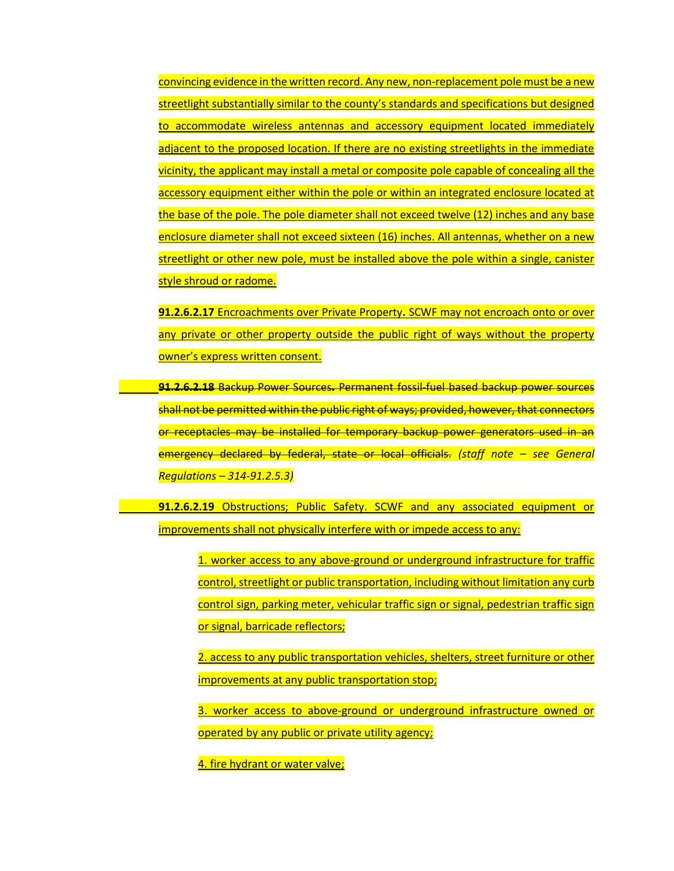convincing evidence in the written record. Any new, non-replacement pole must be a new streetlight substantially similar to the county's standards and specifications but designed to accommodate wireless antennas and accessory equipment located immediately adjacent to the proposed location. If there are no existing streetlights in the immediate vicinity, the applicant may install a metal or composite pole capable of concealing all the accessory equipment either within the pole or within an integrated enclosure located at the base of the pole. The pole diameter shall not exceed twelve (12) inches and any base enclosure diameter shall not exceed sixteen (16) inches. All antennas, whether on a new streetlight or other new pole, must be installed above the pole within a single, canister style shroud or radome.

**91.2.6.2.17** Encroachments over Private Property**.** SCWF may not encroach onto or over any private or other property outside the public right of ways without the property owner's express written consent.

**91.2.6.2.18** Backup Power Sources**.** Permanent fossil-fuel based backup power sources shall not be permitted within the public right of ways; provided, however, that connectors or receptacles may be installed for temporary backup power generators used in an emergency declared by federal, state or local officials. *(staff note – see General Regulations – 314-91.2.5.3)*

**91.2.6.2.19** Obstructions; Public Safety. SCWF and any associated equipment or improvements shall not physically interfere with or impede access to any:

> 1. worker access to any above-ground or underground infrastructure for traffic control, streetlight or public transportation, including without limitation any curb control sign, parking meter, vehicular traffic sign or signal, pedestrian traffic sign or signal, barricade reflectors;

> 2. access to any public transportation vehicles, shelters, street furniture or other improvements at any public transportation stop;

> 3. worker access to above-ground or underground infrastructure owned or operated by any public or private utility agency;

4. fire hydrant or water valve;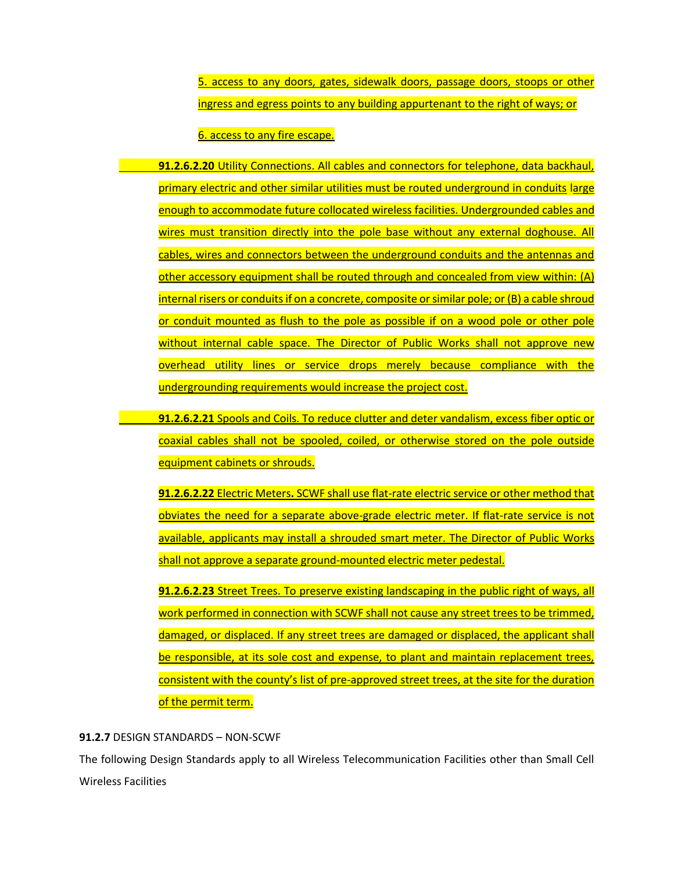5. access to any doors, gates, sidewalk doors, passage doors, stoops or other ingress and egress points to any building appurtenant to the right of ways; or

6. access to any fire escape.

**91.2.6.2.20** Utility Connections. All cables and connectors for telephone, data backhaul, primary electric and other similar utilities must be routed underground in conduits large enough to accommodate future collocated wireless facilities. Undergrounded cables and wires must transition directly into the pole base without any external doghouse. All cables, wires and connectors between the underground conduits and the antennas and other accessory equipment shall be routed through and concealed from view within: (A) internal risers or conduits if on a concrete, composite or similar pole; or (B) a cable shroud or conduit mounted as flush to the pole as possible if on a wood pole or other pole without internal cable space. The Director of Public Works shall not approve new overhead utility lines or service drops merely because compliance with the undergrounding requirements would increase the project cost.

**91.2.6.2.21** Spools and Coils. To reduce clutter and deter vandalism, excess fiber optic or coaxial cables shall not be spooled, coiled, or otherwise stored on the pole outside equipment cabinets or shrouds.

**91.2.6.2.22** Electric Meters**.** SCWF shall use flat-rate electric service or other method that obviates the need for a separate above-grade electric meter. If flat-rate service is not available, applicants may install a shrouded smart meter. The Director of Public Works shall not approve a separate ground-mounted electric meter pedestal.

**91.2.6.2.23** Street Trees. To preserve existing landscaping in the public right of ways, all work performed in connection with SCWF shall not cause any street trees to be trimmed, damaged, or displaced. If any street trees are damaged or displaced, the applicant shall be responsible, at its sole cost and expense, to plant and maintain replacement trees, consistent with the county's list of pre-approved street trees, at the site for the duration of the permit term.

## **91.2.7** DESIGN STANDARDS – NON-SCWF

The following Design Standards apply to all Wireless Telecommunication Facilities other than Small Cell Wireless Facilities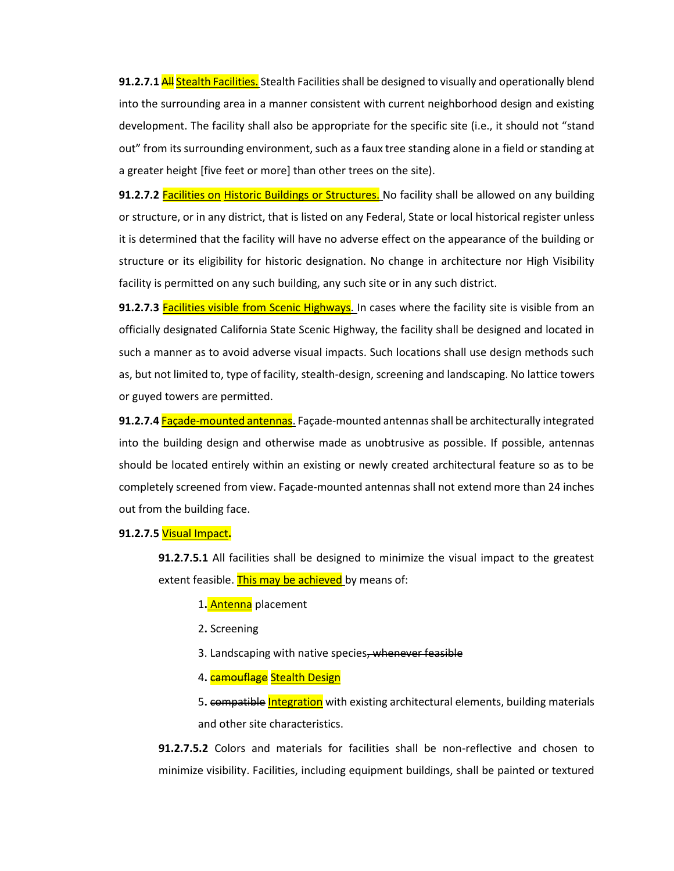**91.2.7.1 All Stealth Facilities.** Stealth Facilities shall be designed to visually and operationally blend into the surrounding area in a manner consistent with current neighborhood design and existing development. The facility shall also be appropriate for the specific site (i.e., it should not "stand out" from its surrounding environment, such as a faux tree standing alone in a field or standing at a greater height [five feet or more] than other trees on the site).

**91.2.7.2** Facilities on Historic Buildings or Structures. No facility shall be allowed on any building or structure, or in any district, that is listed on any Federal, State or local historical register unless it is determined that the facility will have no adverse effect on the appearance of the building or structure or its eligibility for historic designation. No change in architecture nor High Visibility facility is permitted on any such building, any such site or in any such district.

**91.2.7.3** Facilities visible from Scenic Highways. In cases where the facility site is visible from an officially designated California State Scenic Highway, the facility shall be designed and located in such a manner as to avoid adverse visual impacts. Such locations shall use design methods such as, but not limited to, type of facility, stealth-design, screening and landscaping. No lattice towers or guyed towers are permitted.

**91.2.7.4** Façade-mounted antennas. Façade-mounted antennas shall be architecturally integrated into the building design and otherwise made as unobtrusive as possible. If possible, antennas should be located entirely within an existing or newly created architectural feature so as to be completely screened from view. Façade-mounted antennas shall not extend more than 24 inches out from the building face.

## **91.2.7.5** Visual Impact**.**

**91.2.7.5.1** All facilities shall be designed to minimize the visual impact to the greatest extent feasible. This may be achieved by means of:

1**.** Antenna placement

- 2**.** Screening
- 3. Landscaping with native species, whenever feasible
- 4. **camouflage** Stealth Design

5**.** compatible Integration with existing architectural elements, building materials and other site characteristics.

**91.2.7.5.2** Colors and materials for facilities shall be non-reflective and chosen to minimize visibility. Facilities, including equipment buildings, shall be painted or textured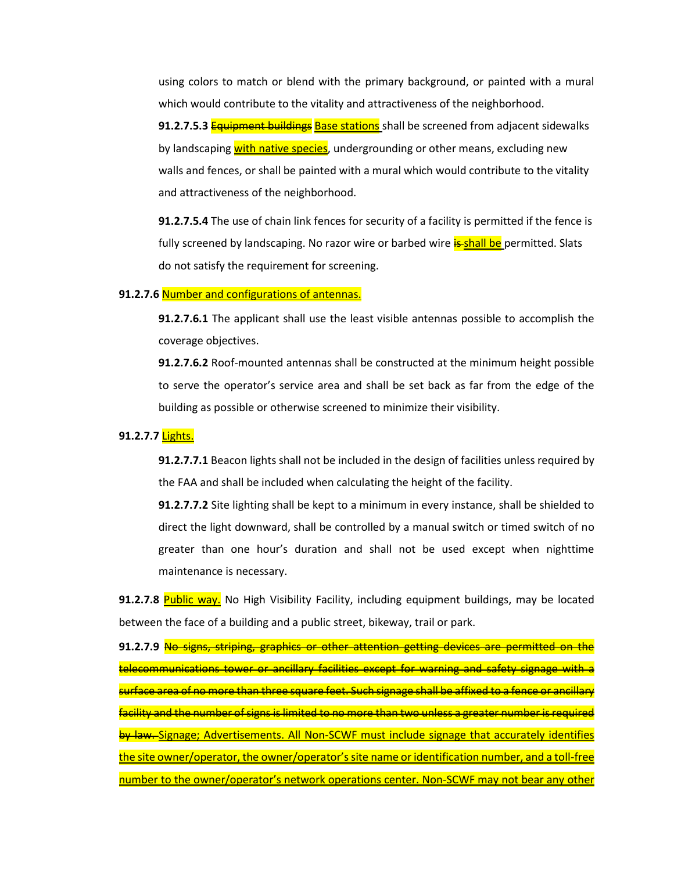using colors to match or blend with the primary background, or painted with a mural which would contribute to the vitality and attractiveness of the neighborhood.

**91.2.7.5.3** Equipment buildings Base stations shall be screened from adjacent sidewalks by landscaping with native species, undergrounding or other means, excluding new walls and fences, or shall be painted with a mural which would contribute to the vitality and attractiveness of the neighborhood.

**91.2.7.5.4** The use of chain link fences for security of a facility is permitted if the fence is fully screened by landscaping. No razor wire or barbed wire **is-shall be** permitted. Slats do not satisfy the requirement for screening.

## **91.2.7.6** Number and configurations of antennas.

**91.2.7.6.1** The applicant shall use the least visible antennas possible to accomplish the coverage objectives.

**91.2.7.6.2** Roof-mounted antennas shall be constructed at the minimum height possible to serve the operator's service area and shall be set back as far from the edge of the building as possible or otherwise screened to minimize their visibility.

#### **91.2.7.7** Lights.

**91.2.7.7.1** Beacon lights shall not be included in the design of facilities unless required by the FAA and shall be included when calculating the height of the facility.

**91.2.7.7.2** Site lighting shall be kept to a minimum in every instance, shall be shielded to direct the light downward, shall be controlled by a manual switch or timed switch of no greater than one hour's duration and shall not be used except when nighttime maintenance is necessary.

**91.2.7.8** Public way. No High Visibility Facility, including equipment buildings, may be located between the face of a building and a public street, bikeway, trail or park.

**91.2.7.9** No signs, striping, graphics or other attention getting devices are permitted on the telecommunications tower or ancillary facilities except for warning and safety signage with a surface area of no more than three square feet. Such signage shall be affixed to a fence or ancillary facility and the number of signs is limited to no more than two unless a greater number is required by law. Signage; Advertisements. All Non-SCWF must include signage that accurately identifies the site owner/operator, the owner/operator's site name or identification number, and a toll-free number to the owner/operator's network operations center. Non-SCWF may not bear any other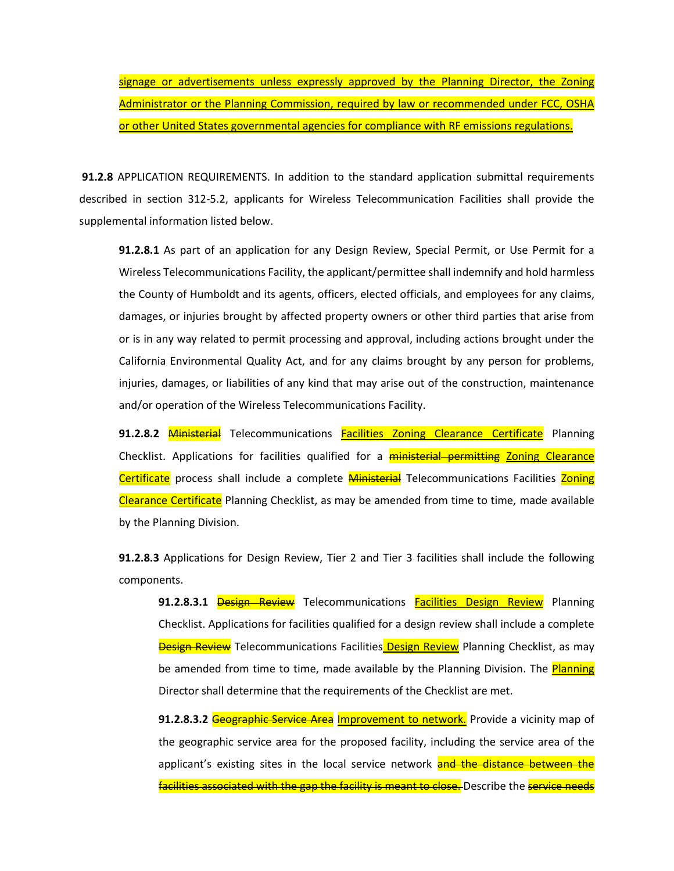signage or advertisements unless expressly approved by the Planning Director, the Zoning Administrator or the Planning Commission, required by law or recommended under FCC, OSHA or other United States governmental agencies for compliance with RF emissions regulations.

**91.2.8** APPLICATION REQUIREMENTS. In addition to the standard application submittal requirements described in section 312-5.2, applicants for Wireless Telecommunication Facilities shall provide the supplemental information listed below.

**91.2.8.1** As part of an application for any Design Review, Special Permit, or Use Permit for a Wireless Telecommunications Facility, the applicant/permittee shall indemnify and hold harmless the County of Humboldt and its agents, officers, elected officials, and employees for any claims, damages, or injuries brought by affected property owners or other third parties that arise from or is in any way related to permit processing and approval, including actions brought under the California Environmental Quality Act, and for any claims brought by any person for problems, injuries, damages, or liabilities of any kind that may arise out of the construction, maintenance and/or operation of the Wireless Telecommunications Facility.

**91.2.8.2 Ministerial** Telecommunications **Facilities Zoning Clearance Certificate** Planning Checklist. Applications for facilities qualified for a **ministerial permitting Zoning Clearance** Certificate process shall include a complete Ministerial Telecommunications Facilities Zoning Clearance Certificate Planning Checklist, as may be amended from time to time, made available by the Planning Division.

**91.2.8.3** Applications for Design Review, Tier 2 and Tier 3 facilities shall include the following components.

91.2.8.3.1 **Design Review** Telecommunications **Facilities Design Review** Planning Checklist. Applications for facilities qualified for a design review shall include a complete **Design Review** Telecommunications Facilities Design Review Planning Checklist, as may be amended from time to time, made available by the Planning Division. The Planning Director shall determine that the requirements of the Checklist are met.

91.2.8.3.2 Geographic Service Area Improvement to network. Provide a vicinity map of the geographic service area for the proposed facility, including the service area of the applicant's existing sites in the local service network and the distance between the facilities associated with the gap the facility is meant to close. Describe the service needs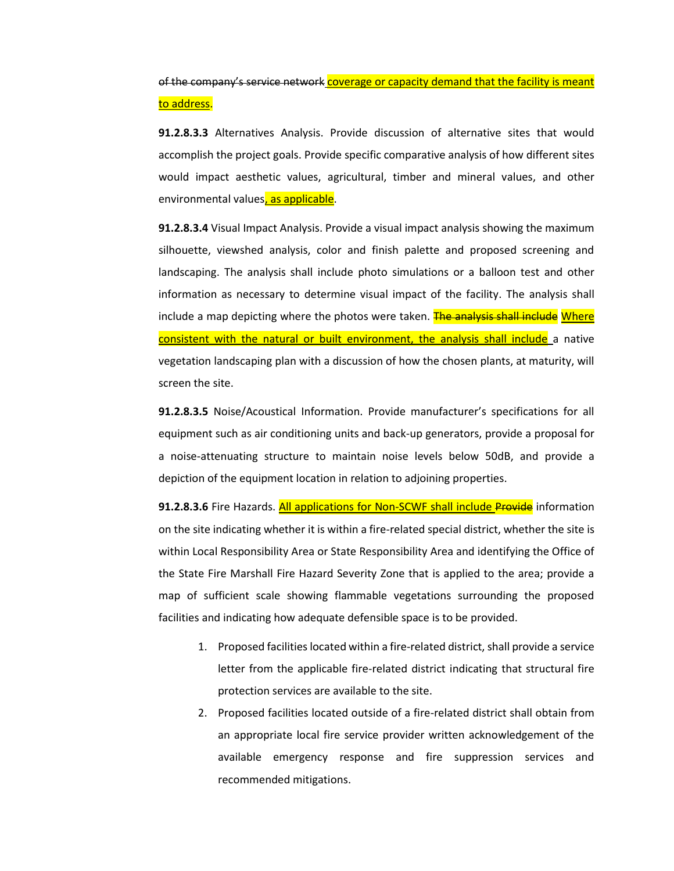of the company's service network coverage or capacity demand that the facility is meant to address.

**91.2.8.3.3** Alternatives Analysis. Provide discussion of alternative sites that would accomplish the project goals. Provide specific comparative analysis of how different sites would impact aesthetic values, agricultural, timber and mineral values, and other environmental values, as applicable.

**91.2.8.3.4** Visual Impact Analysis. Provide a visual impact analysis showing the maximum silhouette, viewshed analysis, color and finish palette and proposed screening and landscaping. The analysis shall include photo simulations or a balloon test and other information as necessary to determine visual impact of the facility. The analysis shall include a map depicting where the photos were taken. The analysis shall include Where consistent with the natural or built environment, the analysis shall include a native vegetation landscaping plan with a discussion of how the chosen plants, at maturity, will screen the site.

**91.2.8.3.5** Noise/Acoustical Information. Provide manufacturer's specifications for all equipment such as air conditioning units and back-up generators, provide a proposal for a noise-attenuating structure to maintain noise levels below 50dB, and provide a depiction of the equipment location in relation to adjoining properties.

91.2.8.3.6 Fire Hazards. **All applications for Non-SCWF shall include Provide** information on the site indicating whether it is within a fire-related special district, whether the site is within Local Responsibility Area or State Responsibility Area and identifying the Office of the State Fire Marshall Fire Hazard Severity Zone that is applied to the area; provide a map of sufficient scale showing flammable vegetations surrounding the proposed facilities and indicating how adequate defensible space is to be provided.

- 1. Proposed facilities located within a fire-related district, shall provide a service letter from the applicable fire-related district indicating that structural fire protection services are available to the site.
- 2. Proposed facilities located outside of a fire-related district shall obtain from an appropriate local fire service provider written acknowledgement of the available emergency response and fire suppression services and recommended mitigations.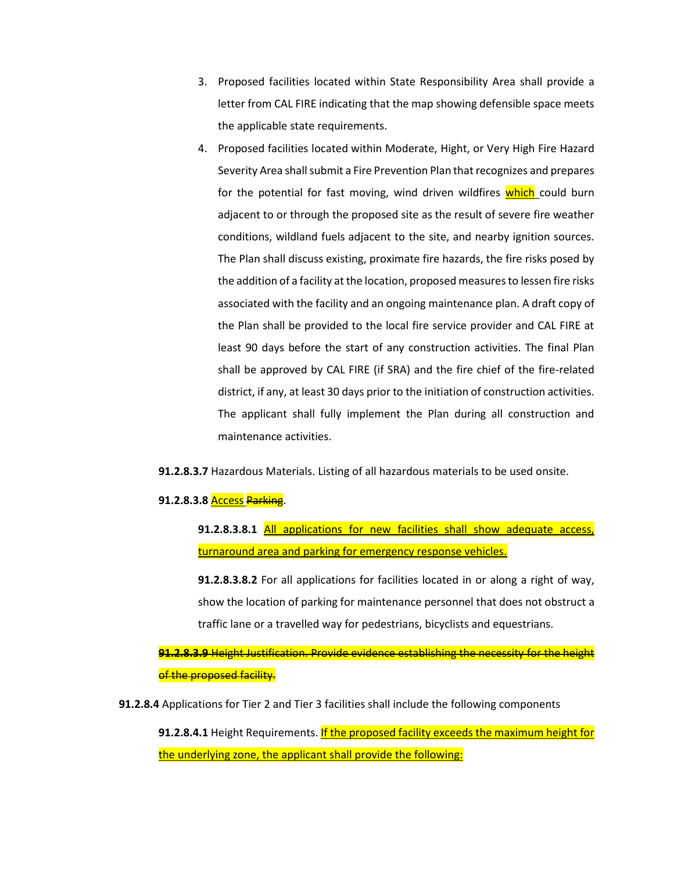- 3. Proposed facilities located within State Responsibility Area shall provide a letter from CAL FIRE indicating that the map showing defensible space meets the applicable state requirements.
- 4. Proposed facilities located within Moderate, Hight, or Very High Fire Hazard Severity Area shall submit a Fire Prevention Plan that recognizes and prepares for the potential for fast moving, wind driven wildfires which could burn adjacent to or through the proposed site as the result of severe fire weather conditions, wildland fuels adjacent to the site, and nearby ignition sources. The Plan shall discuss existing, proximate fire hazards, the fire risks posed by the addition of a facility at the location, proposed measures to lessen fire risks associated with the facility and an ongoing maintenance plan. A draft copy of the Plan shall be provided to the local fire service provider and CAL FIRE at least 90 days before the start of any construction activities. The final Plan shall be approved by CAL FIRE (if SRA) and the fire chief of the fire-related district, if any, at least 30 days prior to the initiation of construction activities. The applicant shall fully implement the Plan during all construction and maintenance activities.
- **91.2.8.3.7** Hazardous Materials. Listing of all hazardous materials to be used onsite.

#### **91.2.8.3.8** Access Parking.

**91.2.8.3.8.1** All applications for new facilities shall show adequate access, turnaround area and parking for emergency response vehicles.

**91.2.8.3.8.2** For all applications for facilities located in or along a right of way, show the location of parking for maintenance personnel that does not obstruct a traffic lane or a travelled way for pedestrians, bicyclists and equestrians.

**91.2.8.3.9** Height Justification. Provide evidence establishing the necessity for the height of the proposed facility.

**91.2.8.4** Applications for Tier 2 and Tier 3 facilities shall include the following components

**91.2.8.4.1** Height Requirements. If the proposed facility exceeds the maximum height for the underlying zone, the applicant shall provide the following: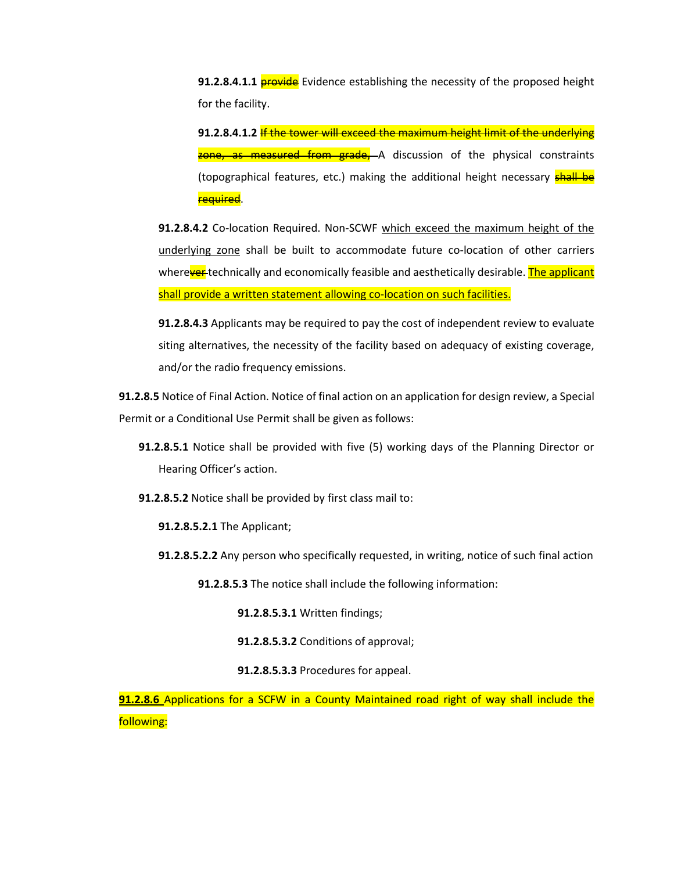**91.2.8.4.1.1 provide** Evidence establishing the necessity of the proposed height for the facility.

**91.2.8.4.1.2** If the tower will exceed the maximum height limit of the underlying zone, as measured from grade, A discussion of the physical constraints (topographical features, etc.) making the additional height necessary **shall be** required.

**91.2.8.4.2** Co-location Required. Non-SCWF which exceed the maximum height of the underlying zone shall be built to accommodate future co-location of other carriers wherever technically and economically feasible and aesthetically desirable. The applicant shall provide a written statement allowing co-location on such facilities.

**91.2.8.4.3** Applicants may be required to pay the cost of independent review to evaluate siting alternatives, the necessity of the facility based on adequacy of existing coverage, and/or the radio frequency emissions.

**91.2.8.5** Notice of Final Action. Notice of final action on an application for design review, a Special Permit or a Conditional Use Permit shall be given as follows:

- **91.2.8.5.1** Notice shall be provided with five (5) working days of the Planning Director or Hearing Officer's action.
- **91.2.8.5.2** Notice shall be provided by first class mail to:
	- **91.2.8.5.2.1** The Applicant;
	- **91.2.8.5.2.2** Any person who specifically requested, in writing, notice of such final action

**91.2.8.5.3** The notice shall include the following information:

**91.2.8.5.3.1** Written findings;

**91.2.8.5.3.2** Conditions of approval;

**91.2.8.5.3.3** Procedures for appeal.

**91.2.8.6** Applications for a SCFW in a County Maintained road right of way shall include the following: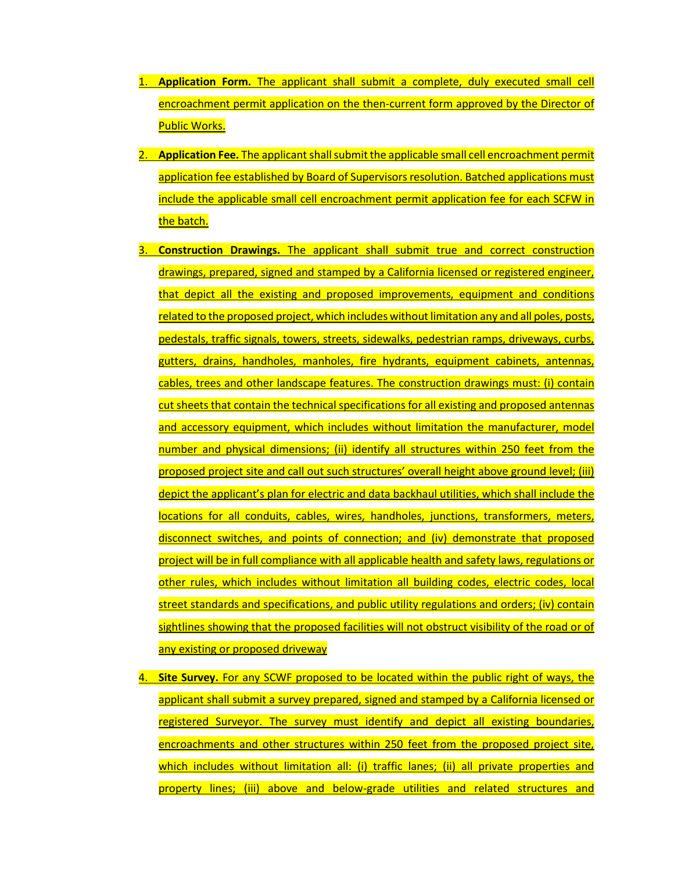- 1. **Application Form.** The applicant shall submit a complete, duly executed small cell encroachment permit application on the then-current form approved by the Director of Public Works.
- 2. **Application Fee.** The applicant shall submit the applicable small cell encroachment permit application fee established by Board of Supervisors resolution. Batched applications must include the applicable small cell encroachment permit application fee for each SCFW in the batch.
- 3. **Construction Drawings.** The applicant shall submit true and correct construction drawings, prepared, signed and stamped by a California licensed or registered engineer, that depict all the existing and proposed improvements, equipment and conditions related to the proposed project, which includes without limitation any and all poles, posts, pedestals, traffic signals, towers, streets, sidewalks, pedestrian ramps, driveways, curbs, gutters, drains, handholes, manholes, fire hydrants, equipment cabinets, antennas, cables, trees and other landscape features. The construction drawings must: (i) contain cut sheets that contain the technical specifications for all existing and proposed antennas and accessory equipment, which includes without limitation the manufacturer, model number and physical dimensions; (ii) identify all structures within 250 feet from the proposed project site and call out such structures' overall height above ground level; (iii) depict the applicant's plan for electric and data backhaul utilities, which shall include the locations for all conduits, cables, wires, handholes, junctions, transformers, meters, disconnect switches, and points of connection; and (iv) demonstrate that proposed project will be in full compliance with all applicable health and safety laws, regulations or other rules, which includes without limitation all building codes, electric codes, local street standards and specifications, and public utility regulations and orders; (iv) contain sightlines showing that the proposed facilities will not obstruct visibility of the road or of any existing or proposed driveway
- 4. **Site Survey.** For any SCWF proposed to be located within the public right of ways, the applicant shall submit a survey prepared, signed and stamped by a California licensed or registered Surveyor. The survey must identify and depict all existing boundaries, encroachments and other structures within 250 feet from the proposed project site, which includes without limitation all: (i) traffic lanes; (ii) all private properties and property lines; (iii) above and below-grade utilities and related structures and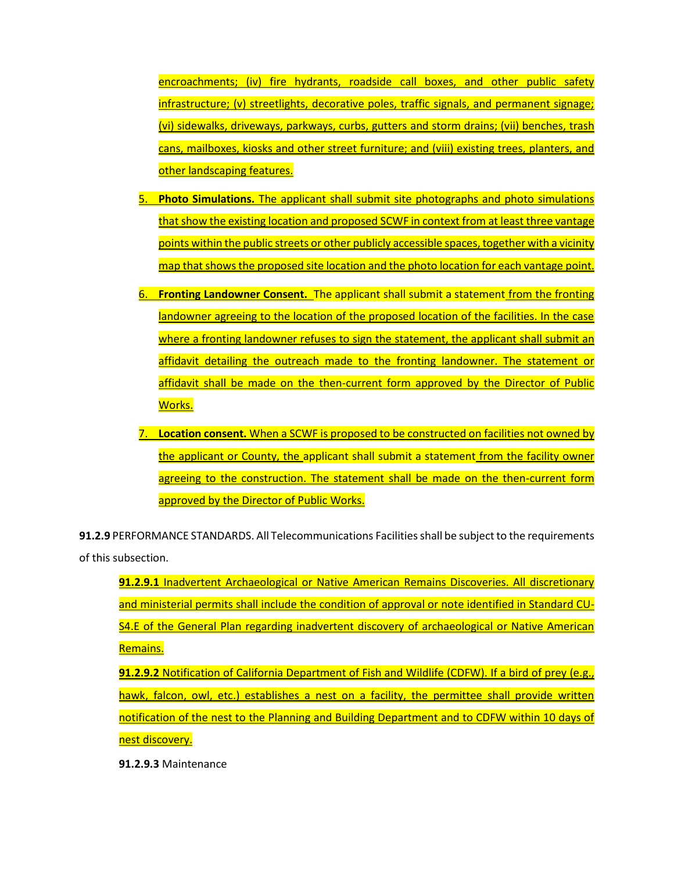encroachments; (iv) fire hydrants, roadside call boxes, and other public safety infrastructure; (v) streetlights, decorative poles, traffic signals, and permanent signage; (vi) sidewalks, driveways, parkways, curbs, gutters and storm drains; (vii) benches, trash cans, mailboxes, kiosks and other street furniture; and (viii) existing trees, planters, and other landscaping features.

- 5. **Photo Simulations.** The applicant shall submit site photographs and photo simulations that show the existing location and proposed SCWF in context from at least three vantage points within the public streets or other publicly accessible spaces, together with a vicinity map that shows the proposed site location and the photo location for each vantage point.
- 6. **Fronting Landowner Consent.** The applicant shall submit a statement from the fronting landowner agreeing to the location of the proposed location of the facilities. In the case where a fronting landowner refuses to sign the statement, the applicant shall submit an affidavit detailing the outreach made to the fronting landowner. The statement or affidavit shall be made on the then-current form approved by the Director of Public Works.
- 7. **Location consent.** When a SCWF is proposed to be constructed on facilities not owned by the applicant or County, the applicant shall submit a statement from the facility owner agreeing to the construction. The statement shall be made on the then-current form approved by the Director of Public Works.

**91.2.9** PERFORMANCE STANDARDS. All Telecommunications Facilities shall be subject to the requirements of this subsection.

**91.2.9.1** Inadvertent Archaeological or Native American Remains Discoveries. All discretionary and ministerial permits shall include the condition of approval or note identified in Standard CU-S4.E of the General Plan regarding inadvertent discovery of archaeological or Native American Remains.

**91.2.9.2** Notification of California Department of Fish and Wildlife (CDFW). If a bird of prey (e.g., hawk, falcon, owl, etc.) establishes a nest on a facility, the permittee shall provide written notification of the nest to the Planning and Building Department and to CDFW within 10 days of nest discovery.

**91.2.9.3** Maintenance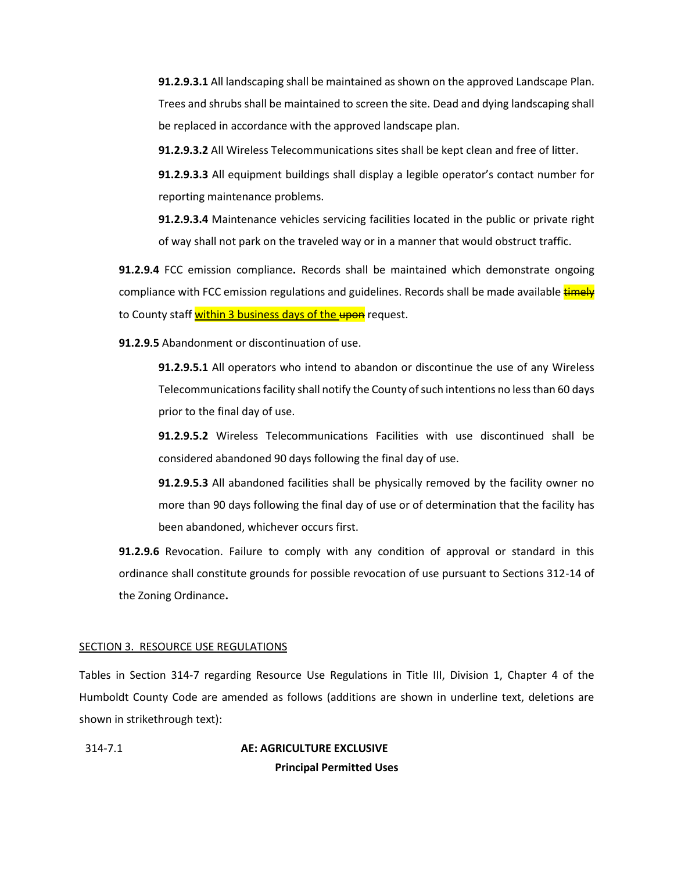**91.2.9.3.1** All landscaping shall be maintained as shown on the approved Landscape Plan. Trees and shrubs shall be maintained to screen the site. Dead and dying landscaping shall be replaced in accordance with the approved landscape plan.

**91.2.9.3.2** All Wireless Telecommunications sites shall be kept clean and free of litter.

**91.2.9.3.3** All equipment buildings shall display a legible operator's contact number for reporting maintenance problems.

**91.2.9.3.4** Maintenance vehicles servicing facilities located in the public or private right of way shall not park on the traveled way or in a manner that would obstruct traffic.

**91.2.9.4** FCC emission compliance**.** Records shall be maintained which demonstrate ongoing compliance with FCC emission regulations and guidelines. Records shall be made available timely to County staff within 3 business days of the upon request.

**91.2.9.5** Abandonment or discontinuation of use.

**91.2.9.5.1** All operators who intend to abandon or discontinue the use of any Wireless Telecommunications facility shall notify the County of such intentions no less than 60 days prior to the final day of use.

**91.2.9.5.2** Wireless Telecommunications Facilities with use discontinued shall be considered abandoned 90 days following the final day of use.

**91.2.9.5.3** All abandoned facilities shall be physically removed by the facility owner no more than 90 days following the final day of use or of determination that the facility has been abandoned, whichever occurs first.

**91.2.9.6** Revocation. Failure to comply with any condition of approval or standard in this ordinance shall constitute grounds for possible revocation of use pursuant to Sections 312-14 of the Zoning Ordinance**.**

## SECTION 3. RESOURCE USE REGULATIONS

Tables in Section 314-7 regarding Resource Use Regulations in Title III, Division 1, Chapter 4 of the Humboldt County Code are amended as follows (additions are shown in underline text, deletions are shown in strikethrough text):

[314-7.1](file:///C:/Users/khilton/Downloads/Humboldt%20County%20Code%20Section%20314-7.rtf%23314-7.1) **AE: AGRICULTURE EXCLUSIVE Principal Permitted Uses**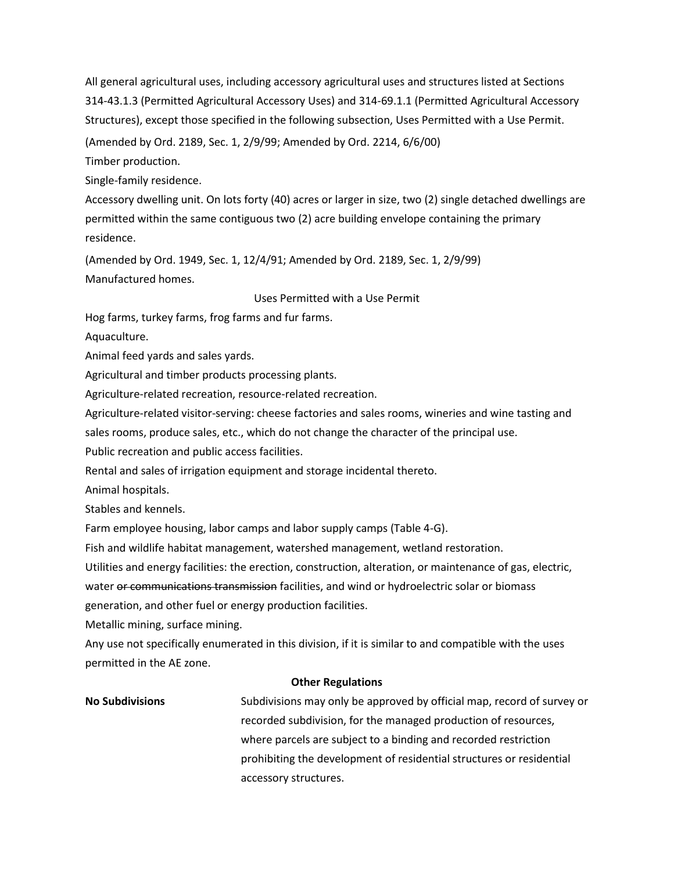All general agricultural uses, including accessory agricultural uses and structures listed at Sections [314-43.1.3](https://humboldt.county.codes/Code/314-43.1.3) (Permitted Agricultural Accessory Uses) and [314-69.1.1](https://humboldt.county.codes/Code/314-69.1.1) (Permitted Agricultural Accessory Structures), except those specified in the following subsection, Uses Permitted with a Use Permit.

(Amended by Ord. [2189,](https://humboldt.county.codes/enactments/Ord2189?product=Code) Sec. 1, 2/9/99; Amended by Ord. [2214,](https://humboldt.county.codes/enactments/Ord2214?product=Code) 6/6/00)

Timber production.

Single-family residence.

Accessory dwelling unit. On lots forty (40) acres or larger in size, two (2) single detached dwellings are permitted within the same contiguous two (2) acre building envelope containing the primary residence.

(Amended by Ord. [1949,](https://humboldt.county.codes/enactments/Ord1949?product=Code) Sec. 1, 12/4/91; Amended by Ord. [2189,](https://humboldt.county.codes/enactments/Ord2189?product=Code) Sec. 1, 2/9/99) Manufactured homes.

#### Uses Permitted with a Use Permit

Hog farms, turkey farms, frog farms and fur farms.

Aquaculture.

Animal feed yards and sales yards.

Agricultural and timber products processing plants.

Agriculture-related recreation, resource-related recreation.

Agriculture-related visitor-serving: cheese factories and sales rooms, wineries and wine tasting and

sales rooms, produce sales, etc., which do not change the character of the principal use.

Public recreation and public access facilities.

Rental and sales of irrigation equipment and storage incidental thereto.

Animal hospitals.

Stables and kennels.

Farm employee housing, labor camps and labor supply camps (Table 4-G).

Fish and wildlife habitat management, watershed management, wetland restoration.

Utilities and energy facilities: the erection, construction, alteration, or maintenance of gas, electric,

water or communications transmission facilities, and wind or hydroelectric solar or biomass

generation, and other fuel or energy production facilities.

Metallic mining, surface mining.

Any use not specifically enumerated in this division, if it is similar to and compatible with the uses permitted in the AE zone.

#### **Other Regulations**

**No Subdivisions** Subdivisions may only be approved by official map, record of survey or recorded subdivision, for the managed production of resources, where parcels are subject to a binding and recorded restriction prohibiting the development of residential structures or residential accessory structures.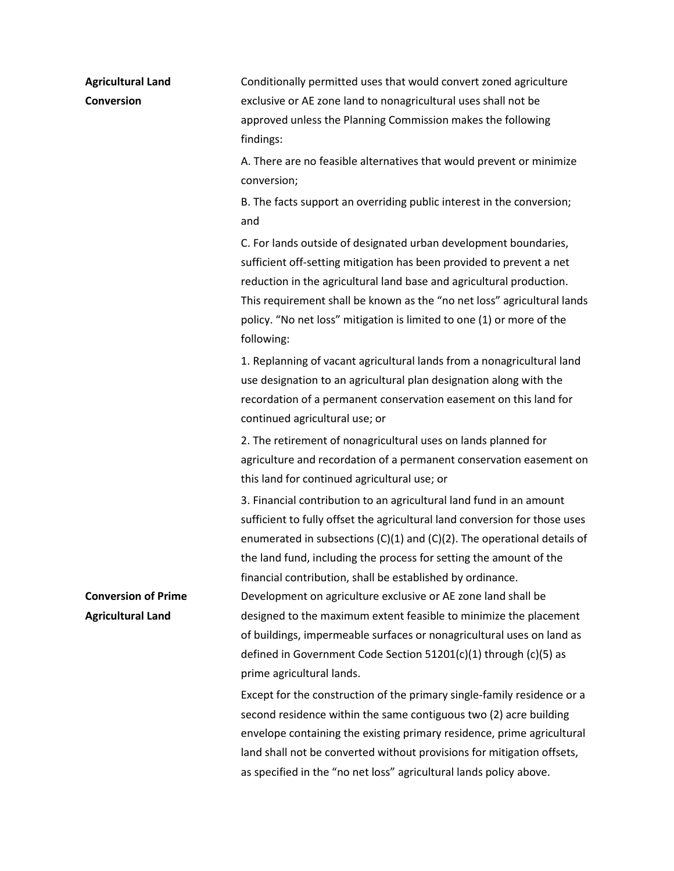**Agricultural Land Conversion**

Conditionally permitted uses that would convert zoned agriculture exclusive or AE zone land to nonagricultural uses shall not be approved unless the Planning Commission makes the following findings:

A. There are no feasible alternatives that would prevent or minimize conversion;

B. The facts support an overriding public interest in the conversion; and

C. For lands outside of designated urban development boundaries, sufficient off-setting mitigation has been provided to prevent a net reduction in the agricultural land base and agricultural production. This requirement shall be known as the "no net loss" agricultural lands policy. "No net loss" mitigation is limited to one (1) or more of the following:

1. Replanning of vacant agricultural lands from a nonagricultural land use designation to an agricultural plan designation along with the recordation of a permanent conservation easement on this land for continued agricultural use; or

2. The retirement of nonagricultural uses on lands planned for agriculture and recordation of a permanent conservation easement on this land for continued agricultural use; or

3. Financial contribution to an agricultural land fund in an amount sufficient to fully offset the agricultural land conversion for those uses enumerated in subsections  $(C)(1)$  and  $(C)(2)$ . The operational details of the land fund, including the process for setting the amount of the financial contribution, shall be established by ordinance. Development on agriculture exclusive or AE zone land shall be designed to the maximum extent feasible to minimize the placement of buildings, impermeable surfaces or nonagricultural uses on land as defined in Government Code Section [51201\(c\)\(1\)](https://humboldt.county.codes/CA/GOV/51201(c)(1)) throug[h \(c\)\(5\)](https://humboldt.county.codes/CA/GOV/51201(c)(5)) as prime agricultural lands.

Except for the construction of the primary single-family residence or a second residence within the same contiguous two (2) acre building envelope containing the existing primary residence, prime agricultural land shall not be converted without provisions for mitigation offsets, as specified in the "no net loss" agricultural lands policy above.

**Conversion of Prime Agricultural Land**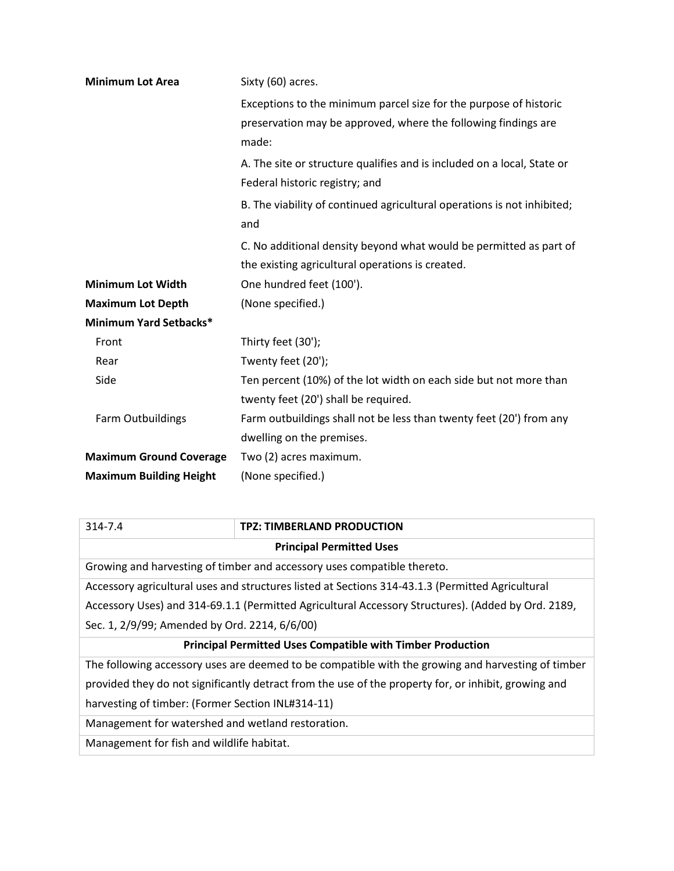| <b>Minimum Lot Area</b>        | Sixty (60) acres.                                                                                                                            |  |  |
|--------------------------------|----------------------------------------------------------------------------------------------------------------------------------------------|--|--|
|                                | Exceptions to the minimum parcel size for the purpose of historic<br>preservation may be approved, where the following findings are<br>made: |  |  |
|                                | A. The site or structure qualifies and is included on a local, State or<br>Federal historic registry; and                                    |  |  |
|                                | B. The viability of continued agricultural operations is not inhibited;<br>and                                                               |  |  |
|                                | C. No additional density beyond what would be permitted as part of                                                                           |  |  |
|                                | the existing agricultural operations is created.                                                                                             |  |  |
| <b>Minimum Lot Width</b>       | One hundred feet (100').                                                                                                                     |  |  |
| <b>Maximum Lot Depth</b>       | (None specified.)                                                                                                                            |  |  |
| <b>Minimum Yard Setbacks*</b>  |                                                                                                                                              |  |  |
| Front                          | Thirty feet (30');                                                                                                                           |  |  |
| Rear                           | Twenty feet (20');                                                                                                                           |  |  |
| Side                           | Ten percent (10%) of the lot width on each side but not more than                                                                            |  |  |
|                                | twenty feet (20') shall be required.                                                                                                         |  |  |
| Farm Outbuildings              | Farm outbuildings shall not be less than twenty feet (20') from any                                                                          |  |  |
|                                | dwelling on the premises.                                                                                                                    |  |  |
| <b>Maximum Ground Coverage</b> | Two (2) acres maximum.                                                                                                                       |  |  |
| <b>Maximum Building Height</b> | (None specified.)                                                                                                                            |  |  |

| 314-7.4                                                                                              | <b>TPZ: TIMBERLAND PRODUCTION</b>                                                                  |  |  |  |
|------------------------------------------------------------------------------------------------------|----------------------------------------------------------------------------------------------------|--|--|--|
| <b>Principal Permitted Uses</b>                                                                      |                                                                                                    |  |  |  |
| Growing and harvesting of timber and accessory uses compatible thereto.                              |                                                                                                    |  |  |  |
| Accessory agricultural uses and structures listed at Sections 314-43.1.3 (Permitted Agricultural     |                                                                                                    |  |  |  |
| Accessory Uses) and 314-69.1.1 (Permitted Agricultural Accessory Structures). (Added by Ord. 2189,   |                                                                                                    |  |  |  |
| Sec. 1, 2/9/99; Amended by Ord. 2214, 6/6/00)                                                        |                                                                                                    |  |  |  |
| <b>Principal Permitted Uses Compatible with Timber Production</b>                                    |                                                                                                    |  |  |  |
|                                                                                                      | The following accessory uses are deemed to be compatible with the growing and harvesting of timber |  |  |  |
| provided they do not significantly detract from the use of the property for, or inhibit, growing and |                                                                                                    |  |  |  |
| harvesting of timber: (Former Section INL#314-11)                                                    |                                                                                                    |  |  |  |
| Management for watershed and wetland restoration.                                                    |                                                                                                    |  |  |  |

Management for fish and wildlife habitat.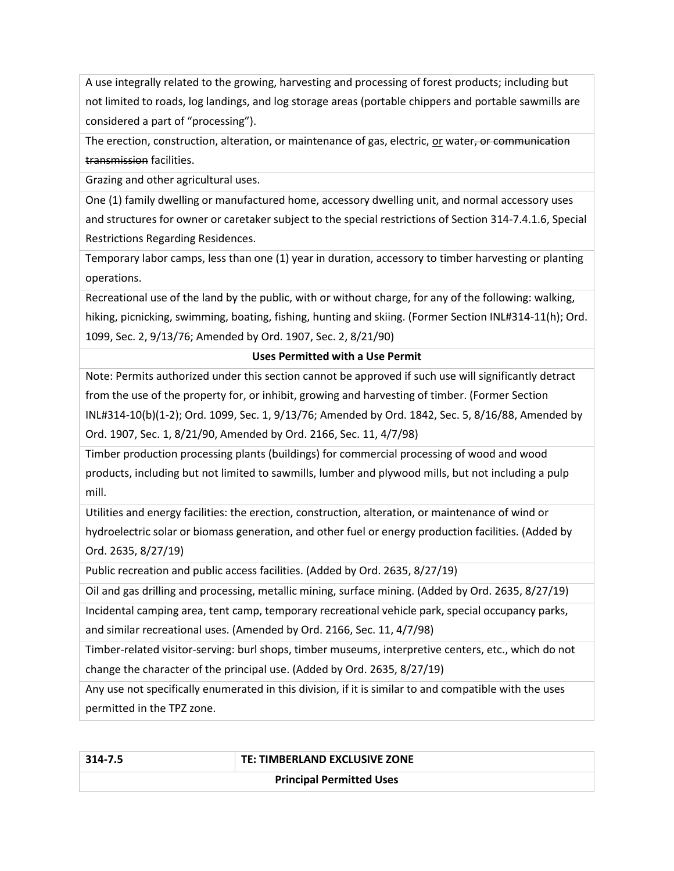A use integrally related to the growing, harvesting and processing of forest products; including but not limited to roads, log landings, and log storage areas (portable chippers and portable sawmills are considered a part of "processing").

The erection, construction, alteration, or maintenance of gas, electric, or water, or communication transmission facilities.

Grazing and other agricultural uses.

One (1) family dwelling or manufactured home, accessory dwelling unit, and normal accessory uses and structures for owner or caretaker subject to the special restrictions of Section [314-7.4.1.6,](#page-30-0) Special Restrictions Regarding Residences.

Temporary labor camps, less than one (1) year in duration, accessory to timber harvesting or planting operations.

Recreational use of the land by the public, with or without charge, for any of the following: walking, hiking, picnicking, swimming, boating, fishing, hunting and skiing. (Former Section INL#314-11(h); Ord. [1099,](https://humboldt.county.codes/enactments/Ord1099?product=Code) Sec. 2, 9/13/76; Amended by Ord[. 1907,](https://humboldt.county.codes/enactments/Ord1907?product=Code) Sec. 2, 8/21/90)

## **Uses Permitted with a Use Permit**

Note: Permits authorized under this section cannot be approved if such use will significantly detract from the use of the property for, or inhibit, growing and harvesting of timber. (Former Section INL#314-10(b)(1-2); Ord. [1099,](https://humboldt.county.codes/enactments/Ord1099?product=Code) Sec. 1, 9/13/76; Amended by Ord. [1842,](https://humboldt.county.codes/enactments/Ord1842?product=Code) Sec. 5, 8/16/88, Amended by Ord. [1907,](https://humboldt.county.codes/enactments/Ord1907?product=Code) Sec. 1, 8/21/90, Amended by Ord[. 2166,](https://humboldt.county.codes/enactments/Ord2166?product=Code) Sec. 11, 4/7/98)

Timber production processing plants (buildings) for commercial processing of wood and wood products, including but not limited to sawmills, lumber and plywood mills, but not including a pulp mill.

Utilities and energy facilities: the erection, construction, alteration, or maintenance of wind or hydroelectric solar or biomass generation, and other fuel or energy production facilities. (Added by Ord. [2635,](https://humboldt.county.codes/enactments/Ord2635?product=Code) 8/27/19)

Public recreation and public access facilities. (Added by Ord[. 2635,](https://humboldt.county.codes/enactments/Ord2635?product=Code) 8/27/19)

Oil and gas drilling and processing, metallic mining, surface mining. (Added by Ord. [2635,](https://humboldt.county.codes/enactments/Ord2635?product=Code) 8/27/19)

Incidental camping area, tent camp, temporary recreational vehicle park, special occupancy parks, and similar recreational uses. (Amended by Ord. 2166, Sec. 11, 4/7/98)

Timber-related visitor-serving: burl shops, timber museums, interpretive centers, etc., which do not change the character of the principal use. (Added by Ord. 2635, 8/27/19)

Any use not specifically enumerated in this division, if it is similar to and compatible with the uses permitted in the TPZ zone.

<span id="page-30-0"></span>

| ×<br>٧<br>٠ |  |  | л |  |  |
|-------------|--|--|---|--|--|
|-------------|--|--|---|--|--|

## **314-7.5 TE: TIMBERLAND EXCLUSIVE ZONE**

**Principal Permitted Uses**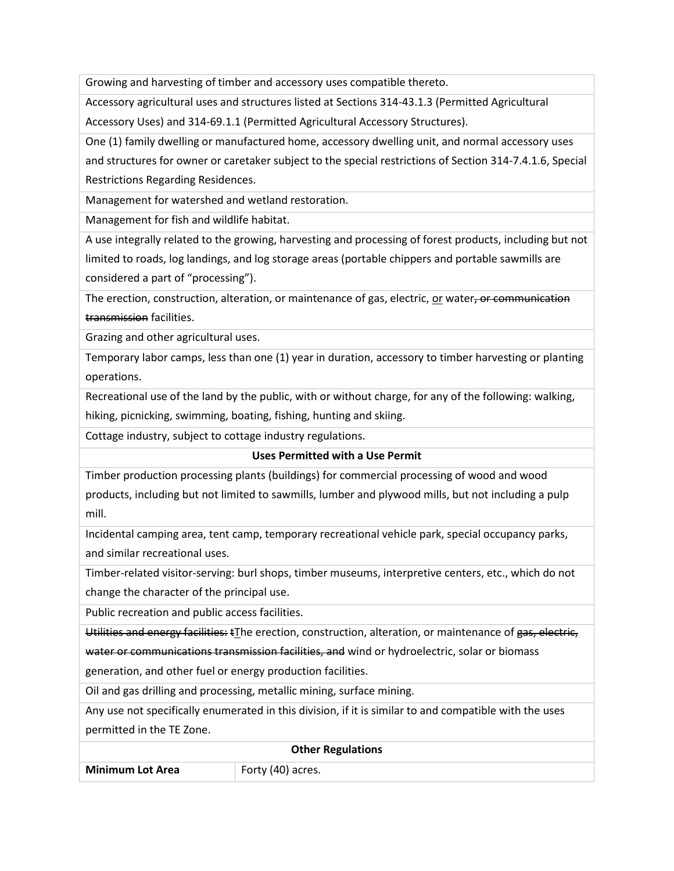Growing and harvesting of timber and accessory uses compatible thereto.

Accessory agricultural uses and structures listed at Sections 314-43.1.3 (Permitted Agricultural Accessory Uses) and 314-69.1.1 (Permitted Agricultural Accessory Structures).

One (1) family dwelling or manufactured home, accessory dwelling unit, and normal accessory uses

and structures for owner or caretaker subject to the special restrictions of Section 314-7.4.1.6, Special Restrictions Regarding Residences.

Management for watershed and wetland restoration.

Management for fish and wildlife habitat.

A use integrally related to the growing, harvesting and processing of forest products, including but not limited to roads, log landings, and log storage areas (portable chippers and portable sawmills are considered a part of "processing").

The erection, construction, alteration, or maintenance of gas, electric, or water, or communication transmission facilities.

Grazing and other agricultural uses.

Temporary labor camps, less than one (1) year in duration, accessory to timber harvesting or planting operations.

Recreational use of the land by the public, with or without charge, for any of the following: walking, hiking, picnicking, swimming, boating, fishing, hunting and skiing.

Cottage industry, subject to cottage industry regulations.

## **Uses Permitted with a Use Permit**

Timber production processing plants (buildings) for commercial processing of wood and wood products, including but not limited to sawmills, lumber and plywood mills, but not including a pulp mill.

Incidental camping area, tent camp, temporary recreational vehicle park, special occupancy parks, and similar recreational uses.

Timber-related visitor-serving: burl shops, timber museums, interpretive centers, etc., which do not change the character of the principal use.

Public recreation and public access facilities.

Utilities and energy facilities: tThe erection, construction, alteration, or maintenance of gas, electric,

water or communications transmission facilities, and wind or hydroelectric, solar or biomass

generation, and other fuel or energy production facilities.

Oil and gas drilling and processing, metallic mining, surface mining.

Any use not specifically enumerated in this division, if it is similar to and compatible with the uses permitted in the TE Zone.

| <b>Other Regulations</b> |                   |
|--------------------------|-------------------|
| <b>Minimum Lot Area</b>  | Forty (40) acres. |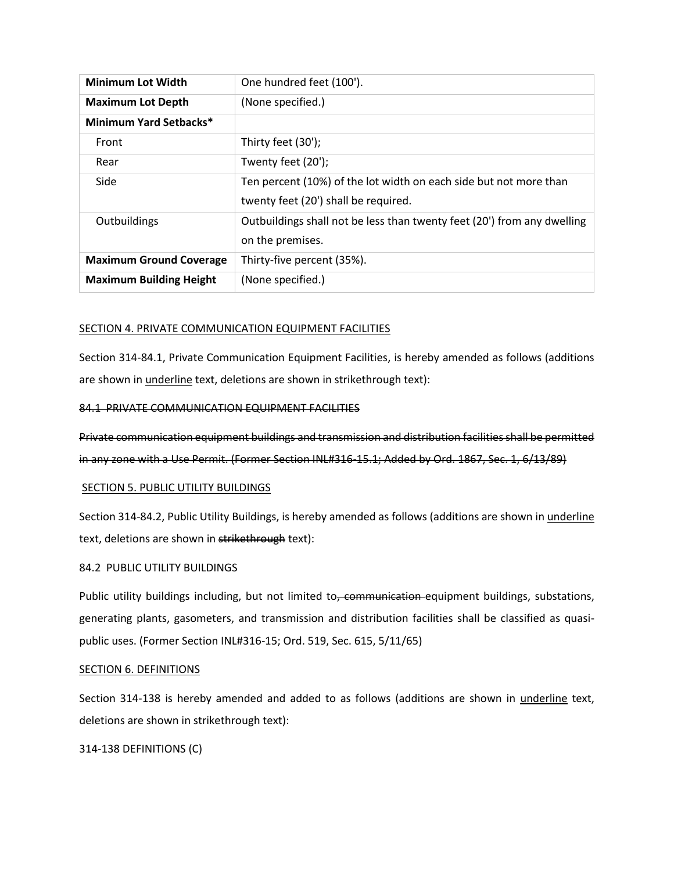| <b>Minimum Lot Width</b>       | One hundred feet (100').                                                |
|--------------------------------|-------------------------------------------------------------------------|
| <b>Maximum Lot Depth</b>       | (None specified.)                                                       |
| Minimum Yard Setbacks*         |                                                                         |
| Front                          | Thirty feet (30');                                                      |
| Rear                           | Twenty feet (20');                                                      |
| Side                           | Ten percent (10%) of the lot width on each side but not more than       |
|                                | twenty feet (20') shall be required.                                    |
| Outbuildings                   | Outbuildings shall not be less than twenty feet (20') from any dwelling |
|                                | on the premises.                                                        |
| <b>Maximum Ground Coverage</b> | Thirty-five percent (35%).                                              |
| <b>Maximum Building Height</b> | (None specified.)                                                       |

## SECTION 4. PRIVATE COMMUNICATION EQUIPMENT FACILITIES

Section 314-84.1, Private Communication Equipment Facilities, is hereby amended as follows (additions are shown in *underline* text, deletions are shown in strikethrough text):

## 84.1 PRIVATE COMMUNICATION EQUIPMENT FACILITIES

Private communication equipment buildings and transmission and distribution facilities shall be permitted in any zone with a Use Permit. (Former Section INL#316-15.1; Added by Ord. 1867, Sec. 1, 6/13/89)

## SECTION 5. PUBLIC UTILITY BUILDINGS

Section 314-84.2, Public Utility Buildings, is hereby amended as follows (additions are shown in *underline* text, deletions are shown in strikethrough text):

## 84.2 PUBLIC UTILITY BUILDINGS

Public utility buildings including, but not limited to, communication equipment buildings, substations, generating plants, gasometers, and transmission and distribution facilities shall be classified as quasipublic uses. (Former Section INL#316-15; Ord. 519, Sec. 615, 5/11/65)

## SECTION 6. DEFINITIONS

Section 314-138 is hereby amended and added to as follows (additions are shown in underline text, deletions are shown in strikethrough text):

## 314-138 DEFINITIONS (C)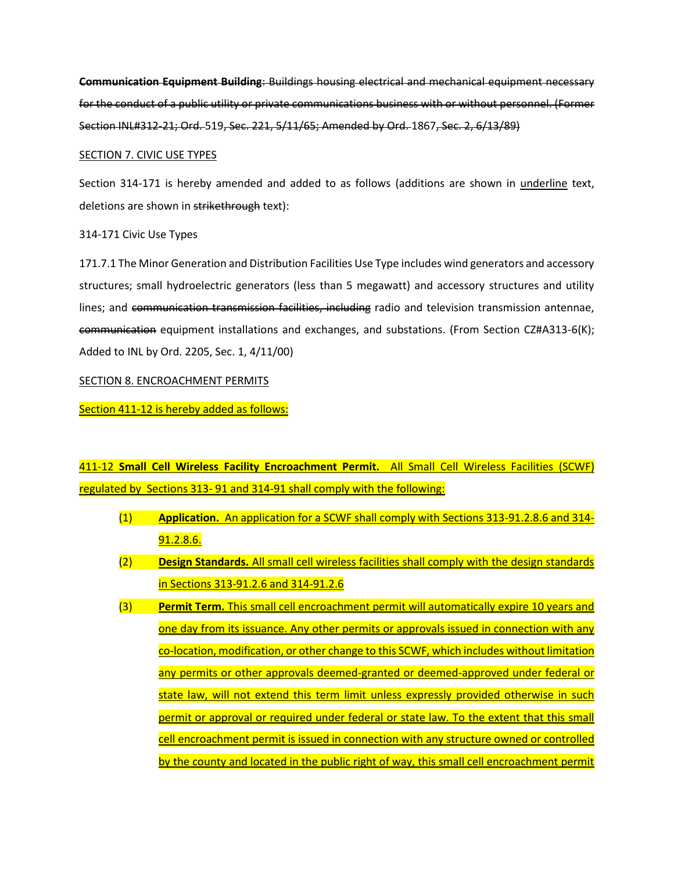**Communication Equipment Building**: Buildings housing electrical and mechanical equipment necessary for the conduct of a public utility or private communications business with or without personnel. (Former Section INL#312-21; Ord. 519, Sec. 221, 5/11/65; Amended by Ord. 1867, Sec. 2, 6/13/89)

## SECTION 7. CIVIC USE TYPES

Section 314-171 is hereby amended and added to as follows (additions are shown in underline text, deletions are shown in strikethrough text):

## 314-171 Civic Use Types

171.7.1 The Minor Generation and Distribution Facilities Use Type includes wind generators and accessory structures; small hydroelectric generators (less than 5 megawatt) and accessory structures and utility lines; and communication transmission facilities, including radio and television transmission antennae, communication equipment installations and exchanges, and substations. (From Section CZ#A313-6(K); Added to INL by Ord. 2205, Sec. 1, 4/11/00)

## SECTION 8. ENCROACHMENT PERMITS

Section 411-12 is hereby added as follows:

411-12 **Small Cell Wireless Facility Encroachment Permit.** All Small Cell Wireless Facilities (SCWF) regulated by Sections 313- 91 and 314-91 shall comply with the following:

- (1) **Application.** An application for a SCWF shall comply with Sections 313-91.2.8.6 and 314- 91.2.8.6.
- (2) **Design Standards.** All small cell wireless facilities shall comply with the design standards in Sections 313-91.2.6 and 314-91.2.6
- (3) **Permit Term.** This small cell encroachment permit will automatically expire 10 years and one day from its issuance. Any other permits or approvals issued in connection with any co-location, modification, or other change to this SCWF, which includes without limitation any permits or other approvals deemed-granted or deemed-approved under federal or state law, will not extend this term limit unless expressly provided otherwise in such permit or approval or required under federal or state law. To the extent that this small cell encroachment permit is issued in connection with any structure owned or controlled by the county and located in the public right of way, this small cell encroachment permit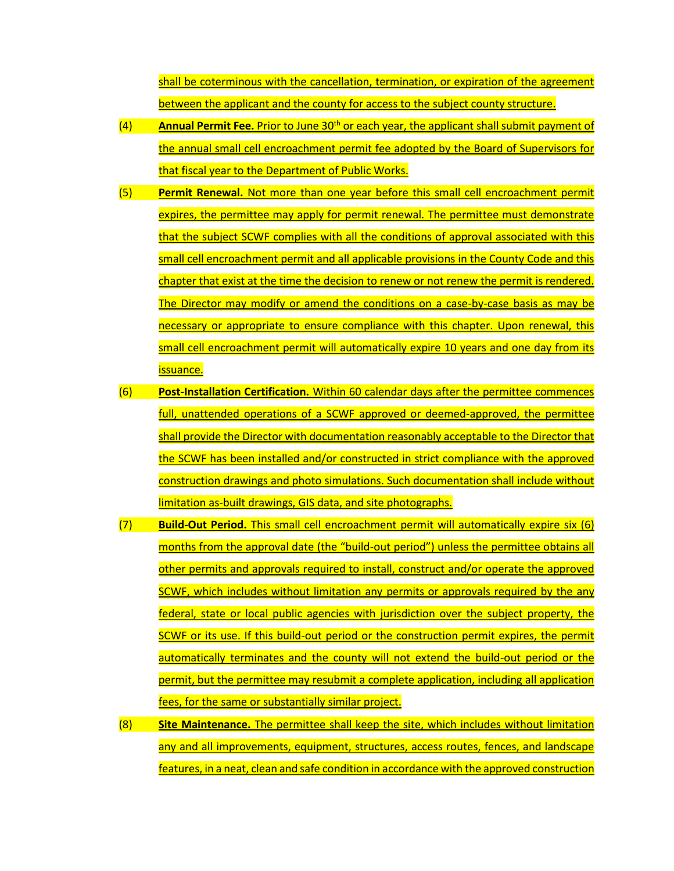shall be coterminous with the cancellation, termination, or expiration of the agreement between the applicant and the county for access to the subject county structure.

- (4) **Annual Permit Fee.** Prior to June 30<sup>th</sup> or each year, the applicant shall submit payment of the annual small cell encroachment permit fee adopted by the Board of Supervisors for that fiscal year to the Department of Public Works.
- (5) **Permit Renewal.** Not more than one year before this small cell encroachment permit expires, the permittee may apply for permit renewal. The permittee must demonstrate that the subject SCWF complies with all the conditions of approval associated with this small cell encroachment permit and all applicable provisions in the County Code and this chapter that exist at the time the decision to renew or not renew the permit is rendered. The Director may modify or amend the conditions on a case-by-case basis as may be necessary or appropriate to ensure compliance with this chapter. Upon renewal, this small cell encroachment permit will automatically expire 10 years and one day from its issuance.
- (6) **Post-Installation Certification.** Within 60 calendar days after the permittee commences full, unattended operations of a SCWF approved or deemed-approved, the permittee shall provide the Director with documentation reasonably acceptable to the Director that the SCWF has been installed and/or constructed in strict compliance with the approved construction drawings and photo simulations. Such documentation shall include without limitation as-built drawings, GIS data, and site photographs.
- (7) **Build-Out Period.** This small cell encroachment permit will automatically expire six (6) months from the approval date (the "build-out period") unless the permittee obtains all other permits and approvals required to install, construct and/or operate the approved SCWF, which includes without limitation any permits or approvals required by the any federal, state or local public agencies with jurisdiction over the subject property, the SCWF or its use. If this build-out period or the construction permit expires, the permit automatically terminates and the county will not extend the build-out period or the permit, but the permittee may resubmit a complete application, including all application fees, for the same or substantially similar project.
- (8) **Site Maintenance.** The permittee shall keep the site, which includes without limitation any and all improvements, equipment, structures, access routes, fences, and landscape features, in a neat, clean and safe condition in accordance with the approved construction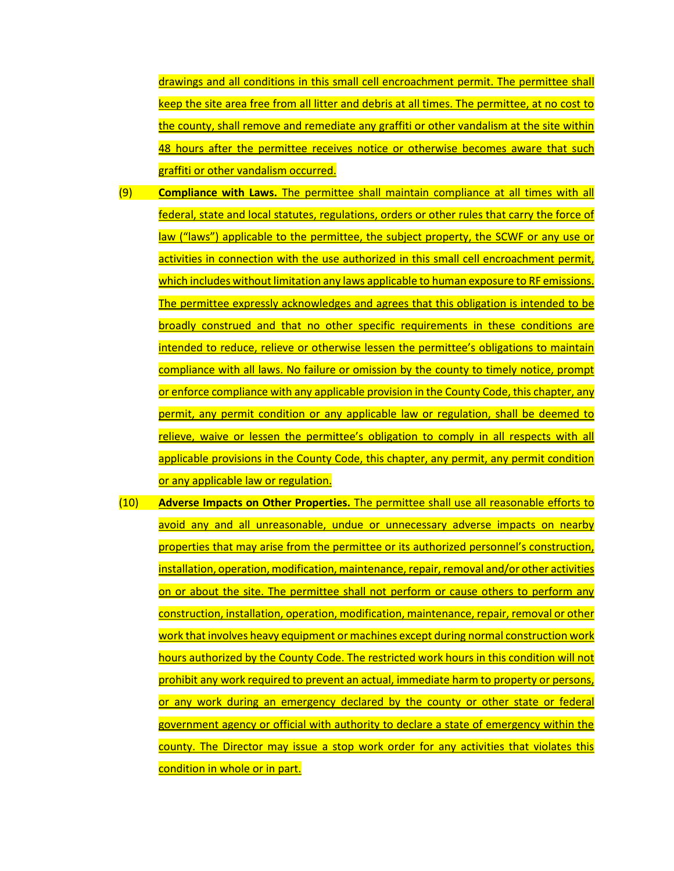drawings and all conditions in this small cell encroachment permit. The permittee shall keep the site area free from all litter and debris at all times. The permittee, at no cost to the county, shall remove and remediate any graffiti or other vandalism at the site within 48 hours after the permittee receives notice or otherwise becomes aware that such graffiti or other vandalism occurred.

- (9) **Compliance with Laws.** The permittee shall maintain compliance at all times with all federal, state and local statutes, regulations, orders or other rules that carry the force of law ("laws") applicable to the permittee, the subject property, the SCWF or any use or activities in connection with the use authorized in this small cell encroachment permit, which includes without limitation any laws applicable to human exposure to RF emissions. The permittee expressly acknowledges and agrees that this obligation is intended to be broadly construed and that no other specific requirements in these conditions are intended to reduce, relieve or otherwise lessen the permittee's obligations to maintain compliance with all laws. No failure or omission by the county to timely notice, prompt or enforce compliance with any applicable provision in the County Code, this chapter, any permit, any permit condition or any applicable law or regulation, shall be deemed to relieve, waive or lessen the permittee's obligation to comply in all respects with all applicable provisions in the County Code, this chapter, any permit, any permit condition or any applicable law or regulation.
- (10) **Adverse Impacts on Other Properties.** The permittee shall use all reasonable efforts to avoid any and all unreasonable, undue or unnecessary adverse impacts on nearby properties that may arise from the permittee or its authorized personnel's construction, installation, operation, modification, maintenance, repair, removal and/or other activities on or about the site. The permittee shall not perform or cause others to perform any construction, installation, operation, modification, maintenance, repair, removal or other work that involves heavy equipment or machines except during normal construction work hours authorized by the County Code. The restricted work hours in this condition will not prohibit any work required to prevent an actual, immediate harm to property or persons, or any work during an emergency declared by the county or other state or federal government agency or official with authority to declare a state of emergency within the county. The Director may issue a stop work order for any activities that violates this condition in whole or in part.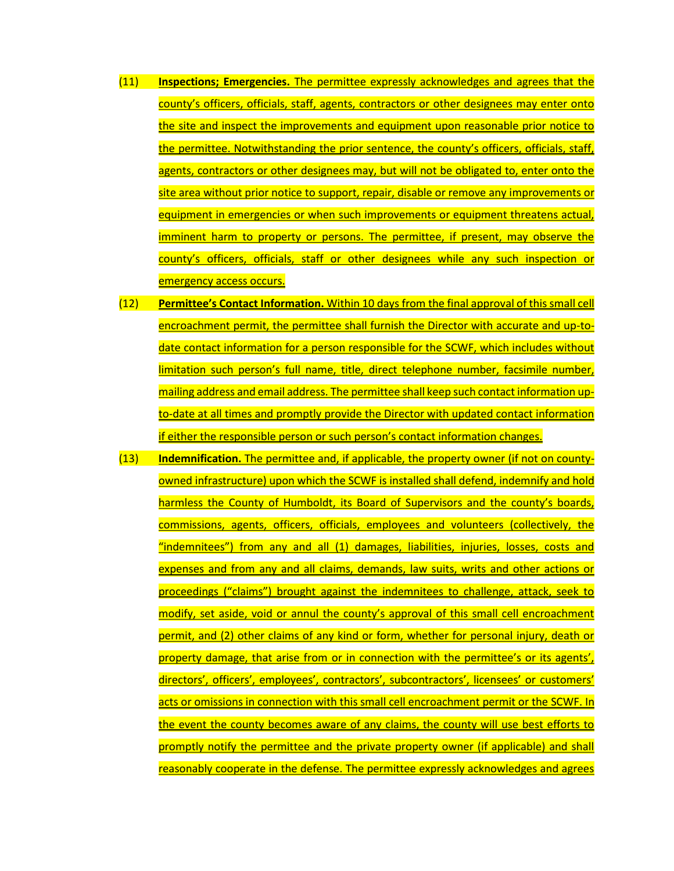- (11) **Inspections; Emergencies.** The permittee expressly acknowledges and agrees that the county's officers, officials, staff, agents, contractors or other designees may enter onto the site and inspect the improvements and equipment upon reasonable prior notice to the permittee. Notwithstanding the prior sentence, the county's officers, officials, staff, agents, contractors or other designees may, but will not be obligated to, enter onto the site area without prior notice to support, repair, disable or remove any improvements or equipment in emergencies or when such improvements or equipment threatens actual, imminent harm to property or persons. The permittee, if present, may observe the county's officers, officials, staff or other designees while any such inspection or emergency access occurs.
- (12) **Permittee's Contact Information.** Within 10 days from the final approval of this small cell encroachment permit, the permittee shall furnish the Director with accurate and up-todate contact information for a person responsible for the SCWF, which includes without limitation such person's full name, title, direct telephone number, facsimile number, mailing address and email address. The permittee shall keep such contact information upto-date at all times and promptly provide the Director with updated contact information if either the responsible person or such person's contact information changes.
- (13) **Indemnification.** The permittee and, if applicable, the property owner (if not on countyowned infrastructure) upon which the SCWF is installed shall defend, indemnify and hold harmless the County of Humboldt, its Board of Supervisors and the county's boards, commissions, agents, officers, officials, employees and volunteers (collectively, the "indemnitees") from any and all (1) damages, liabilities, injuries, losses, costs and expenses and from any and all claims, demands, law suits, writs and other actions or proceedings ("claims") brought against the indemnitees to challenge, attack, seek to modify, set aside, void or annul the county's approval of this small cell encroachment permit, and (2) other claims of any kind or form, whether for personal injury, death or property damage, that arise from or in connection with the permittee's or its agents', directors', officers', employees', contractors', subcontractors', licensees' or customers' acts or omissions in connection with this small cell encroachment permit or the SCWF. In the event the county becomes aware of any claims, the county will use best efforts to promptly notify the permittee and the private property owner (if applicable) and shall reasonably cooperate in the defense. The permittee expressly acknowledges and agrees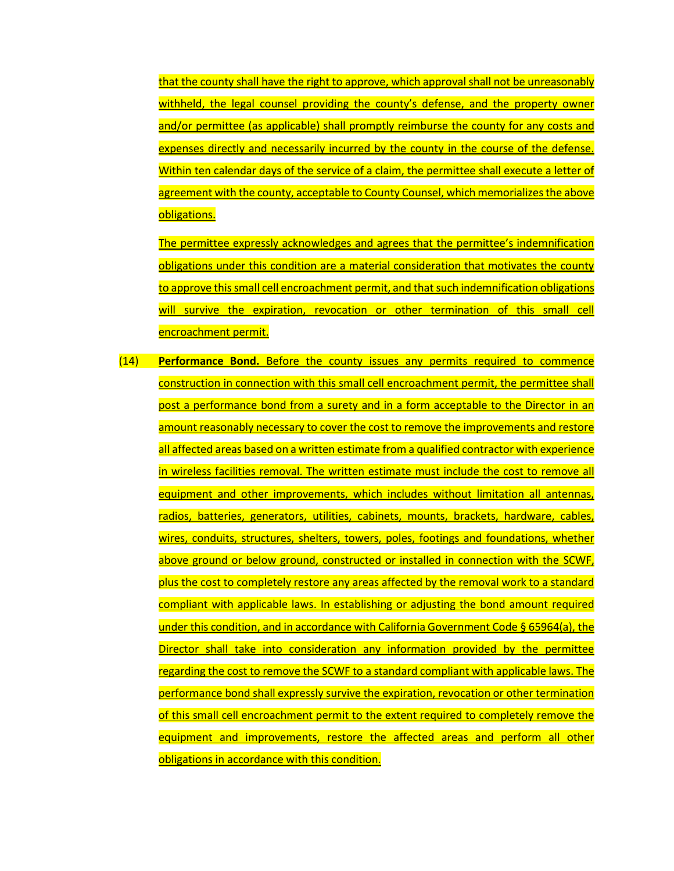that the county shall have the right to approve, which approval shall not be unreasonably withheld, the legal counsel providing the county's defense, and the property owner and/or permittee (as applicable) shall promptly reimburse the county for any costs and expenses directly and necessarily incurred by the county in the course of the defense. Within ten calendar days of the service of a claim, the permittee shall execute a letter of agreement with the county, acceptable to County Counsel, which memorializes the above obligations.

The permittee expressly acknowledges and agrees that the permittee's indemnification obligations under this condition are a material consideration that motivates the county to approve this small cell encroachment permit, and that such indemnification obligations will survive the expiration, revocation or other termination of this small cell encroachment permit.

(14) **Performance Bond.** Before the county issues any permits required to commence construction in connection with this small cell encroachment permit, the permittee shall post a performance bond from a surety and in a form acceptable to the Director in an amount reasonably necessary to cover the cost to remove the improvements and restore all affected areas based on a written estimate from a qualified contractor with experience in wireless facilities removal. The written estimate must include the cost to remove all equipment and other improvements, which includes without limitation all antennas, radios, batteries, generators, utilities, cabinets, mounts, brackets, hardware, cables, wires, conduits, structures, shelters, towers, poles, footings and foundations, whether above ground or below ground, constructed or installed in connection with the SCWF. plus the cost to completely restore any areas affected by the removal work to a standard compliant with applicable laws. In establishing or adjusting the bond amount required under this condition, and in accordance with California Government Code § 65964(a), the Director shall take into consideration any information provided by the permittee regarding the cost to remove the SCWF to a standard compliant with applicable laws. The performance bond shall expressly survive the expiration, revocation or other termination of this small cell encroachment permit to the extent required to completely remove the equipment and improvements, restore the affected areas and perform all other obligations in accordance with this condition.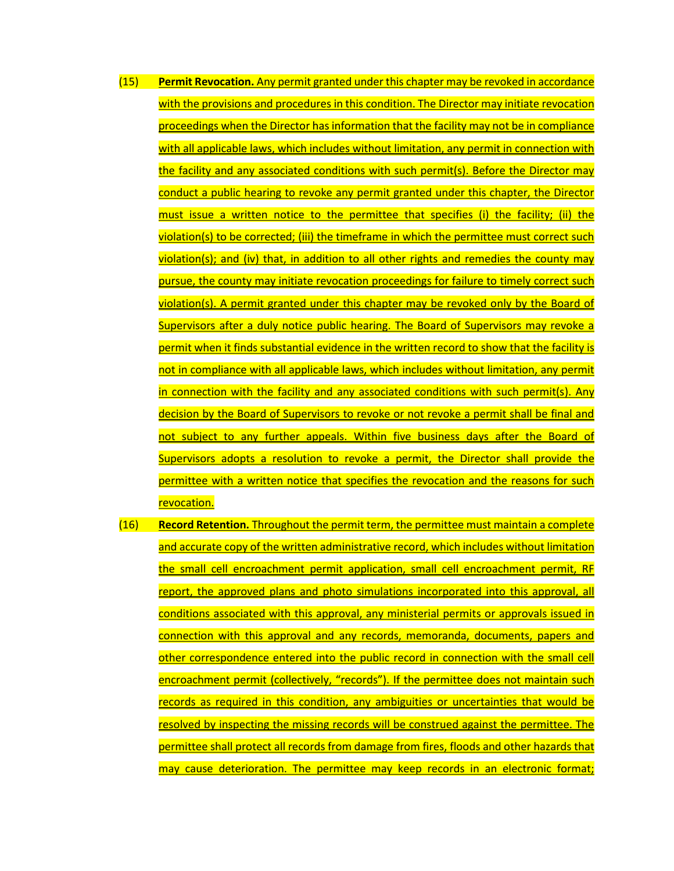- (15) **Permit Revocation.** Any permit granted under this chapter may be revoked in accordance with the provisions and procedures in this condition. The Director may initiate revocation proceedings when the Director has information that the facility may not be in compliance with all applicable laws, which includes without limitation, any permit in connection with the facility and any associated conditions with such permit(s). Before the Director may conduct a public hearing to revoke any permit granted under this chapter, the Director must issue a written notice to the permittee that specifies (i) the facility; (ii) the violation(s) to be corrected; (iii) the timeframe in which the permittee must correct such violation(s); and (iv) that, in addition to all other rights and remedies the county may pursue, the county may initiate revocation proceedings for failure to timely correct such violation(s). A permit granted under this chapter may be revoked only by the Board of Supervisors after a duly notice public hearing. The Board of Supervisors may revoke a permit when it finds substantial evidence in the written record to show that the facility is not in compliance with all applicable laws, which includes without limitation, any permit in connection with the facility and any associated conditions with such permit(s). Any decision by the Board of Supervisors to revoke or not revoke a permit shall be final and not subject to any further appeals. Within five business days after the Board of Supervisors adopts a resolution to revoke a permit, the Director shall provide the permittee with a written notice that specifies the revocation and the reasons for such revocation.
- (16) **Record Retention.** Throughout the permit term, the permittee must maintain a complete and accurate copy of the written administrative record, which includes without limitation the small cell encroachment permit application, small cell encroachment permit, RF report, the approved plans and photo simulations incorporated into this approval, all conditions associated with this approval, any ministerial permits or approvals issued in connection with this approval and any records, memoranda, documents, papers and other correspondence entered into the public record in connection with the small cell encroachment permit (collectively, "records"). If the permittee does not maintain such records as required in this condition, any ambiguities or uncertainties that would be resolved by inspecting the missing records will be construed against the permittee. The permittee shall protect all records from damage from fires, floods and other hazards that may cause deterioration. The permittee may keep records in an electronic format;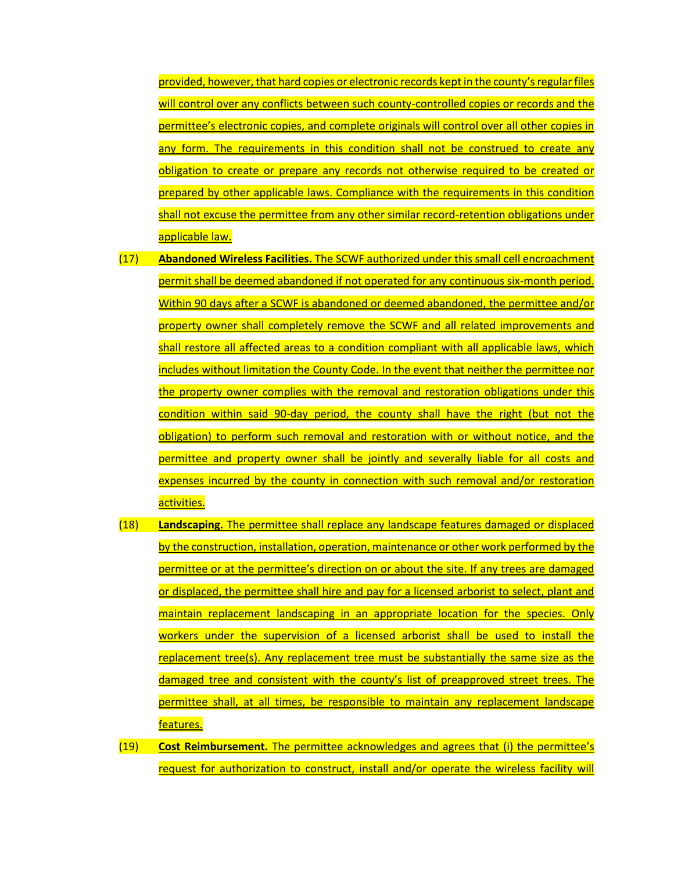provided, however, that hard copies or electronic records kept in the county's regular files will control over any conflicts between such county-controlled copies or records and the permittee's electronic copies, and complete originals will control over all other copies in any form. The requirements in this condition shall not be construed to create any obligation to create or prepare any records not otherwise required to be created or prepared by other applicable laws. Compliance with the requirements in this condition shall not excuse the permittee from any other similar record-retention obligations under applicable law.

- (17) **Abandoned Wireless Facilities.** The SCWF authorized under this small cell encroachment permit shall be deemed abandoned if not operated for any continuous six-month period. Within 90 days after a SCWF is abandoned or deemed abandoned, the permittee and/or property owner shall completely remove the SCWF and all related improvements and shall restore all affected areas to a condition compliant with all applicable laws, which includes without limitation the County Code. In the event that neither the permittee nor the property owner complies with the removal and restoration obligations under this condition within said 90-day period, the county shall have the right (but not the obligation) to perform such removal and restoration with or without notice, and the permittee and property owner shall be jointly and severally liable for all costs and expenses incurred by the county in connection with such removal and/or restoration activities.
- (18) **Landscaping.** The permittee shall replace any landscape features damaged or displaced by the construction, installation, operation, maintenance or other work performed by the permittee or at the permittee's direction on or about the site. If any trees are damaged or displaced, the permittee shall hire and pay for a licensed arborist to select, plant and maintain replacement landscaping in an appropriate location for the species. Only workers under the supervision of a licensed arborist shall be used to install the replacement tree(s). Any replacement tree must be substantially the same size as the damaged tree and consistent with the county's list of preapproved street trees. The permittee shall, at all times, be responsible to maintain any replacement landscape features.
- (19) **Cost Reimbursement.** The permittee acknowledges and agrees that (i) the permittee's request for authorization to construct, install and/or operate the wireless facility will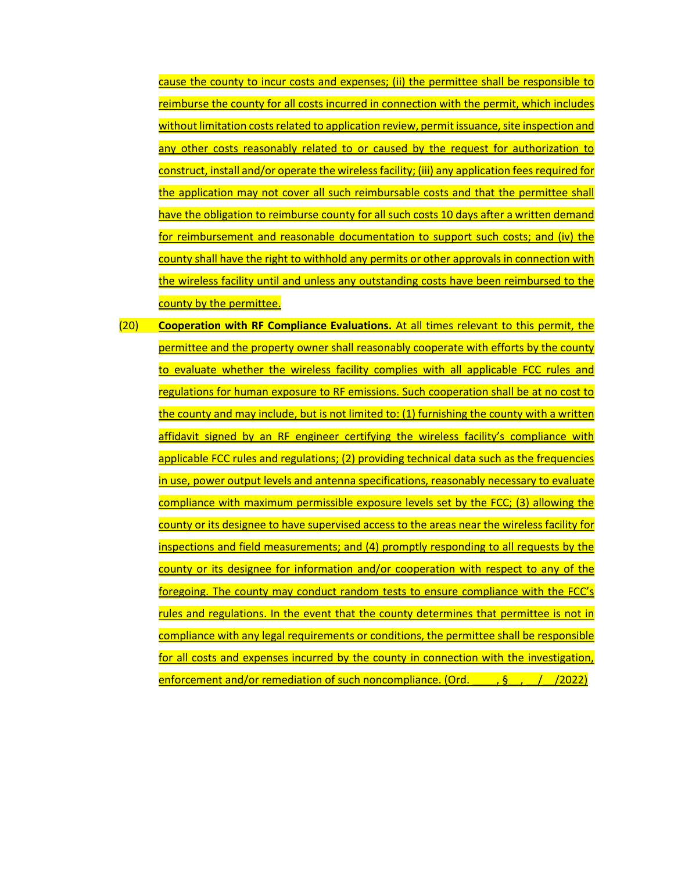cause the county to incur costs and expenses; (ii) the permittee shall be responsible to reimburse the county for all costs incurred in connection with the permit, which includes without limitation costs related to application review, permit issuance, site inspection and any other costs reasonably related to or caused by the request for authorization to construct, install and/or operate the wireless facility; (iii) any application fees required for the application may not cover all such reimbursable costs and that the permittee shall have the obligation to reimburse county for all such costs 10 days after a written demand for reimbursement and reasonable documentation to support such costs; and (iv) the county shall have the right to withhold any permits or other approvals in connection with the wireless facility until and unless any outstanding costs have been reimbursed to the county by the permittee.

(20) **Cooperation with RF Compliance Evaluations.** At all times relevant to this permit, the permittee and the property owner shall reasonably cooperate with efforts by the county to evaluate whether the wireless facility complies with all applicable FCC rules and regulations for human exposure to RF emissions. Such cooperation shall be at no cost to the county and may include, but is not limited to: (1) furnishing the county with a written affidavit signed by an RF engineer certifying the wireless facility's compliance with applicable FCC rules and regulations; (2) providing technical data such as the frequencies in use, power output levels and antenna specifications, reasonably necessary to evaluate compliance with maximum permissible exposure levels set by the FCC; (3) allowing the county or its designee to have supervised access to the areas near the wireless facility for inspections and field measurements; and (4) promptly responding to all requests by the county or its designee for information and/or cooperation with respect to any of the foregoing. The county may conduct random tests to ensure compliance with the FCC's rules and regulations. In the event that the county determines that permittee is not in compliance with any legal requirements or conditions, the permittee shall be responsible for all costs and expenses incurred by the county in connection with the investigation, enforcement and/or remediation of such noncompliance. (Ord.  $\frac{1}{2}$ ,  $\frac{1}{2022}$ )